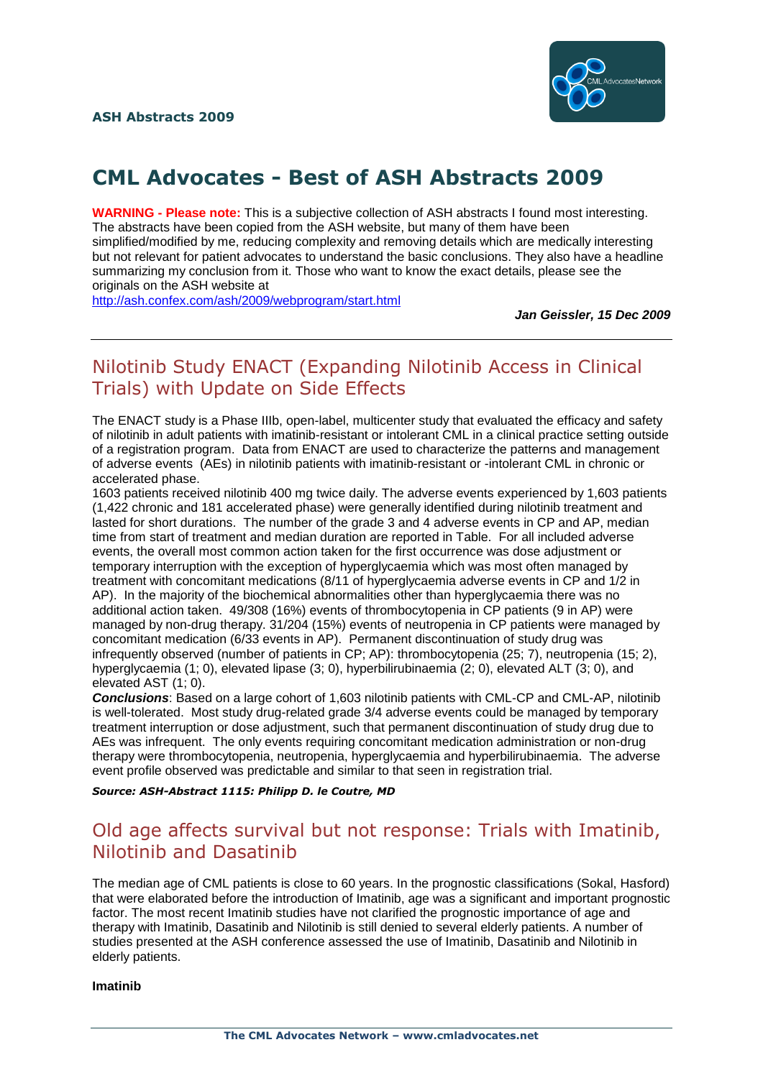

# **CML Advocates - Best of ASH Abstracts 2009**

**WARNING - Please note:** This is a subjective collection of ASH abstracts I found most interesting. The abstracts have been copied from the ASH website, but many of them have been simplified/modified by me, reducing complexity and removing details which are medically interesting but not relevant for patient advocates to understand the basic conclusions. They also have a headline summarizing my conclusion from it. Those who want to know the exact details, please see the originals on the ASH website at

<http://ash.confex.com/ash/2009/webprogram/start.html>

*Jan Geissler, 15 Dec 2009*

## Nilotinib Study ENACT (Expanding Nilotinib Access in Clinical Trials) with Update on Side Effects

The ENACT study is a Phase IIIb, open-label, multicenter study that evaluated the efficacy and safety of nilotinib in adult patients with imatinib-resistant or intolerant CML in a clinical practice setting outside of a registration program. Data from ENACT are used to characterize the patterns and management of adverse events (AEs) in nilotinib patients with imatinib-resistant or -intolerant CML in chronic or accelerated phase.

1603 patients received nilotinib 400 mg twice daily. The adverse events experienced by 1,603 patients (1,422 chronic and 181 accelerated phase) were generally identified during nilotinib treatment and lasted for short durations. The number of the grade 3 and 4 adverse events in CP and AP, median time from start of treatment and median duration are reported in Table. For all included adverse events, the overall most common action taken for the first occurrence was dose adjustment or temporary interruption with the exception of hyperglycaemia which was most often managed by treatment with concomitant medications (8/11 of hyperglycaemia adverse events in CP and 1/2 in AP). In the majority of the biochemical abnormalities other than hyperglycaemia there was no additional action taken. 49/308 (16%) events of thrombocytopenia in CP patients (9 in AP) were managed by non-drug therapy. 31/204 (15%) events of neutropenia in CP patients were managed by managed by concomitant medication (6/33 events in AP). Permanent discontinuation of study drug was infrequently observed (number of patients in CP; AP): thrombocytopenia (25; 7), neutropenia (15; 2), hyperglycaemia (1; 0), elevated lipase (3; 0), hyperbilirubinaemia (2; 0), elevated ALT (3; 0), and elevated AST (1; 0).

*Conclusions*: Based on a large cohort of 1,603 nilotinib patients with CML-CP and CML-AP, nilotinib is well-tolerated. Most study drug-related grade 3/4 adverse events could be managed by temporary treatment interruption or dose adjustment, such that permanent discontinuation of study drug due to AEs was infrequent. The only events requiring concomitant medication administration or non-drug therapy were thrombocytopenia, neutropenia, hyperglycaemia and hyperbilirubinaemia. The adverse event profile observed was predictable and similar to that seen in registration trial.

*Source: ASH-Abstract 1115: Philipp D. le Coutre, MD*

### Old age affects survival but not response: Trials with Imatinib, Nilotinib and Dasatinib

The median age of CML patients is close to 60 years. In the prognostic classifications (Sokal, Hasford) that were elaborated before the introduction of Imatinib, age was a significant and important prognostic factor. The most recent Imatinib studies have not clarified the prognostic importance of age and therapy with Imatinib, Dasatinib and Nilotinib is still denied to several elderly patients. A number of studies presented at the ASH conference assessed the use of Imatinib, Dasatinib and Nilotinib in elderly patients.

**Imatinib**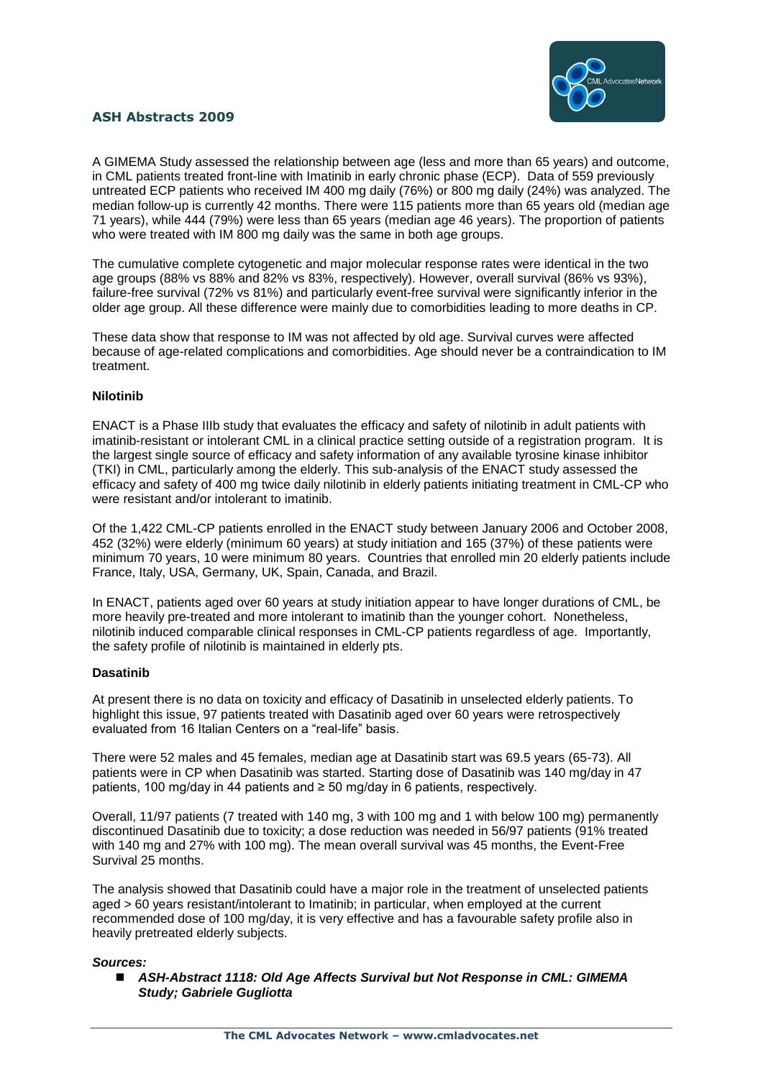

A GIMEMA Study assessed the relationship between age (less and more than 65 years) and outcome, in CML patients treated front-line with Imatinib in early chronic phase (ECP). Data of 559 previously untreated ECP patients who received IM 400 mg daily (76%) or 800 mg daily (24%) was analyzed. The median follow-up is currently 42 months. There were 115 patients more than 65 years old (median age 71 years), while 444 (79%) were less than 65 years (median age 46 years). The proportion of patients who were treated with IM 800 mg daily was the same in both age groups.

The cumulative complete cytogenetic and major molecular response rates were identical in the two age groups (88% vs 88% and 82% vs 83%, respectively). However, overall survival (86% vs 93%), failure-free survival (72% vs 81%) and particularly event-free survival were significantly inferior in the older age group. All these difference were mainly due to comorbidities leading to more deaths in CP.

These data show that response to IM was not affected by old age. Survival curves were affected because of age-related complications and comorbidities. Age should never be a contraindication to IM treatment.

#### **Nilotinib**

ENACT is a Phase IIIb study that evaluates the efficacy and safety of nilotinib in adult patients with imatinib-resistant or intolerant CML in a clinical practice setting outside of a registration program. It is the largest single source of efficacy and safety information of any available tyrosine kinase inhibitor (TKI) in CML, particularly among the elderly. This sub-analysis of the ENACT study assessed the efficacy and safety of 400 mg twice daily nilotinib in elderly patients initiating treatment in CML-CP who were resistant and/or intolerant to imatinib.

Of the 1,422 CML-CP patients enrolled in the ENACT study between January 2006 and October 2008, 452 (32%) were elderly (minimum 60 years) at study initiation and 165 (37%) of these patients were minimum 70 years, 10 were minimum 80 years. Countries that enrolled min 20 elderly patients include France, Italy, USA, Germany, UK, Spain, Canada, and Brazil.

In ENACT, patients aged over 60 years at study initiation appear to have longer durations of CML, be more heavily pre-treated and more intolerant to imatinib than the younger cohort. Nonetheless, nilotinib induced comparable clinical responses in CML-CP patients regardless of age. Importantly, the safety profile of nilotinib is maintained in elderly pts.

#### **Dasatinib**

At present there is no data on toxicity and efficacy of Dasatinib in unselected elderly patients. To highlight this issue, 97 patients treated with Dasatinib aged over 60 years were retrospectively evaluated from 16 Italian Centers on a "real-life" basis.

There were 52 males and 45 females, median age at Dasatinib start was 69.5 years (65-73). All patients were in CP when Dasatinib was started. Starting dose of Dasatinib was 140 mg/day in 47 patients, 100 mg/day in 44 patients and ≥ 50 mg/day in 6 patients, respectively.

Overall, 11/97 patients (7 treated with 140 mg, 3 with 100 mg and 1 with below 100 mg) permanently discontinued Dasatinib due to toxicity; a dose reduction was needed in 56/97 patients (91% treated with 140 mg and 27% with 100 mg). The mean overall survival was 45 months, the Event-Free Survival 25 months.

The analysis showed that Dasatinib could have a major role in the treatment of unselected patients aged > 60 years resistant/intolerant to Imatinib; in particular, when employed at the current recommended dose of 100 mg/day, it is very effective and has a favourable safety profile also in heavily pretreated elderly subjects.

#### *Sources:*

 *ASH-Abstract 1118: Old Age Affects Survival but Not Response in CML: GIMEMA Study; Gabriele Gugliotta*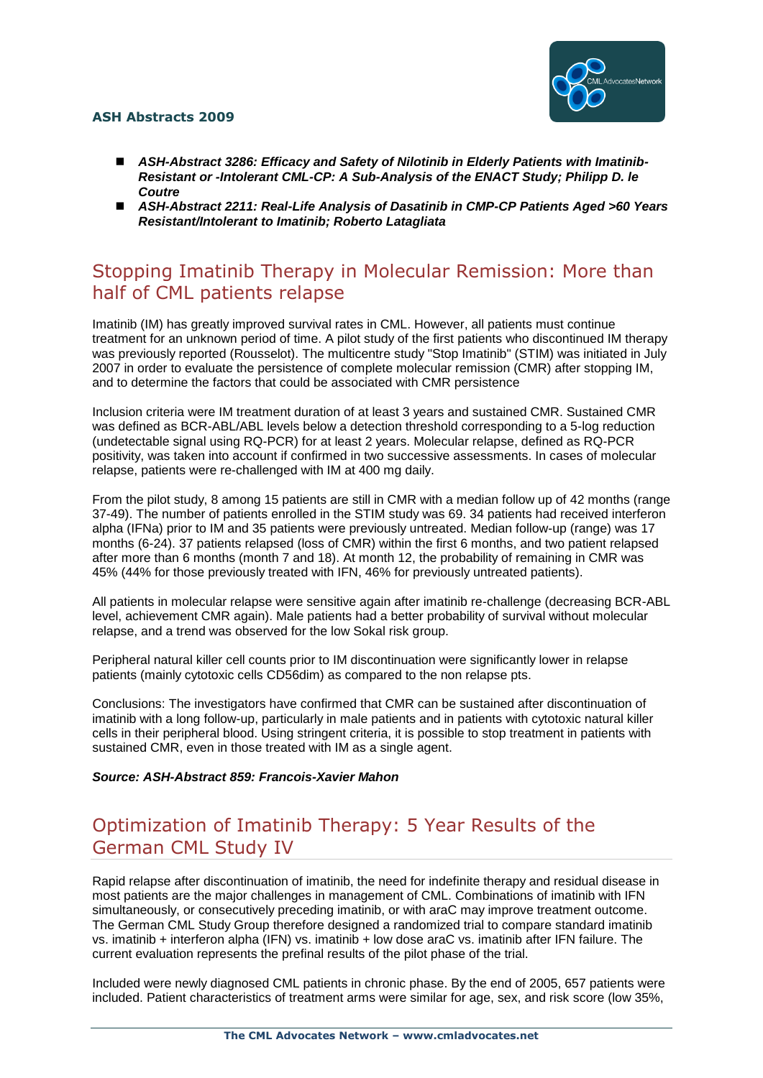

- ASH-Abstract 3286: Efficacy and Safety of Nilotinib in Elderly Patients with Imatinib-*Resistant or -Intolerant CML-CP: A Sub-Analysis of the ENACT Study; Philipp D. le Coutre*
- ASH-Abstract 2211: Real-Life Analysis of Dasatinib in CMP-CP Patients Aged >60 Years *Resistant/Intolerant to Imatinib; Roberto Latagliata*

## Stopping Imatinib Therapy in Molecular Remission: More than half of CML patients relapse

Imatinib (IM) has greatly improved survival rates in CML. However, all patients must continue treatment for an unknown period of time. A pilot study of the first patients who discontinued IM therapy was previously reported (Rousselot). The multicentre study "Stop Imatinib" (STIM) was initiated in July 2007 in order to evaluate the persistence of complete molecular remission (CMR) after stopping IM, and to determine the factors that could be associated with CMR persistence

Inclusion criteria were IM treatment duration of at least 3 years and sustained CMR. Sustained CMR was defined as BCR-ABL/ABL levels below a detection threshold corresponding to a 5-log reduction (undetectable signal using RQ-PCR) for at least 2 years. Molecular relapse, defined as RQ-PCR positivity, was taken into account if confirmed in two successive assessments. In cases of molecular relapse, patients were re-challenged with IM at 400 mg daily.

From the pilot study, 8 among 15 patients are still in CMR with a median follow up of 42 months (range 37-49). The number of patients enrolled in the STIM study was 69. 34 patients had received interferon alpha (IFNa) prior to IM and 35 patients were previously untreated. Median follow-up (range) was 17 months (6-24). 37 patients relapsed (loss of CMR) within the first 6 months, and two patient relapsed after more than 6 months (month 7 and 18). At month 12, the probability of remaining in CMR was 45% (44% for those previously treated with IFN, 46% for previously untreated patients).

All patients in molecular relapse were sensitive again after imatinib re-challenge (decreasing BCR-ABL level, achievement CMR again). Male patients had a better probability of survival without molecular relapse, and a trend was observed for the low Sokal risk group.

Peripheral natural killer cell counts prior to IM discontinuation were significantly lower in relapse patients (mainly cytotoxic cells CD56dim) as compared to the non relapse pts.

Conclusions: The investigators have confirmed that CMR can be sustained after discontinuation of imatinib with a long follow-up, particularly in male patients and in patients with cytotoxic natural killer cells in their peripheral blood. Using stringent criteria, it is possible to stop treatment in patients with sustained CMR, even in those treated with IM as a single agent.

#### *Source: ASH-Abstract 859: Francois-Xavier Mahon*

## Optimization of Imatinib Therapy: 5 Year Results of the German CML Study IV

Rapid relapse after discontinuation of imatinib, the need for indefinite therapy and residual disease in most patients are the major challenges in management of CML. Combinations of imatinib with IFN simultaneously, or consecutively preceding imatinib, or with araC may improve treatment outcome. The German CML Study Group therefore designed a randomized trial to compare standard imatinib vs. imatinib + interferon alpha (IFN) vs. imatinib + low dose araC vs. imatinib after IFN failure. The current evaluation represents the prefinal results of the pilot phase of the trial.

Included were newly diagnosed CML patients in chronic phase. By the end of 2005, 657 patients were included. Patient characteristics of treatment arms were similar for age, sex, and risk score (low 35%,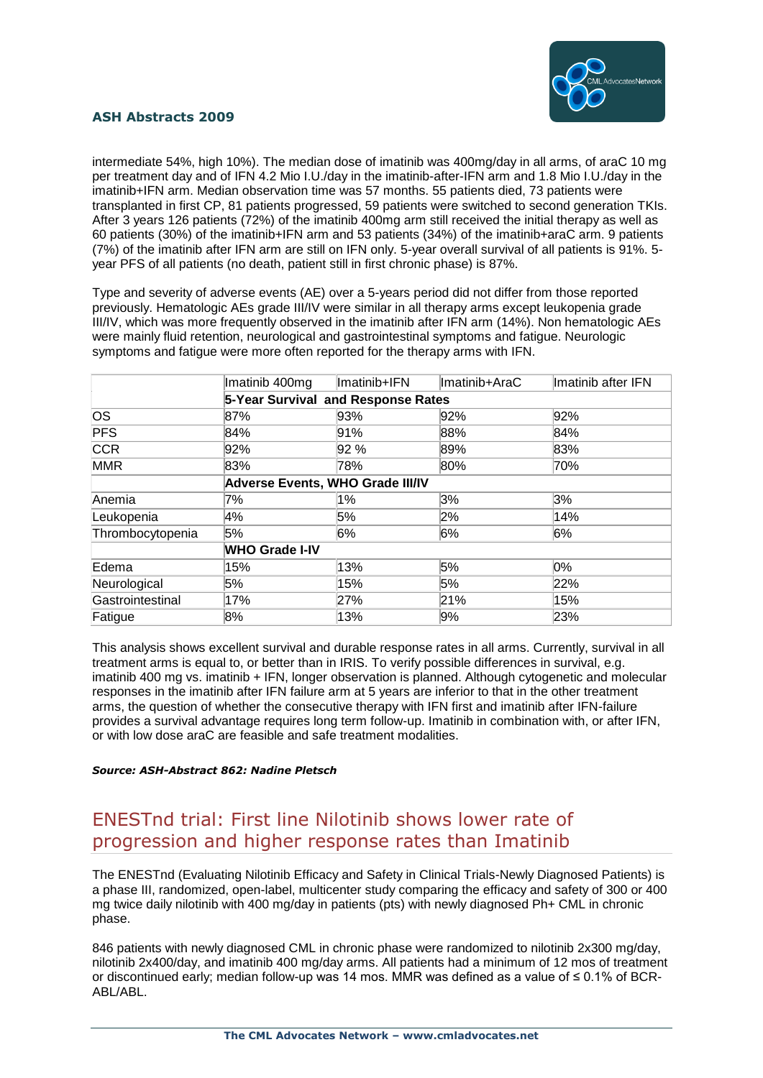

intermediate 54%, high 10%). The median dose of imatinib was 400mg/day in all arms, of araC 10 mg per treatment day and of IFN 4.2 Mio I.U./day in the imatinib-after-IFN arm and 1.8 Mio I.U./day in the imatinib+IFN arm. Median observation time was 57 months. 55 patients died, 73 patients were transplanted in first CP, 81 patients progressed, 59 patients were switched to second generation TKIs. After 3 years 126 patients (72%) of the imatinib 400mg arm still received the initial therapy as well as 60 patients (30%) of the imatinib+IFN arm and 53 patients (34%) of the imatinib+araC arm. 9 patients (7%) of the imatinib after IFN arm are still on IFN only. 5-year overall survival of all patients is 91%. 5 year PFS of all patients (no death, patient still in first chronic phase) is 87%.

Type and severity of adverse events (AE) over a 5-years period did not differ from those reported previously. Hematologic AEs grade III/IV were similar in all therapy arms except leukopenia grade III/IV, which was more frequently observed in the imatinib after IFN arm (14%). Non hematologic AEs were mainly fluid retention, neurological and gastrointestinal symptoms and fatigue. Neurologic symptoms and fatigue were more often reported for the therapy arms with IFN.

|                                    | Imatinib 400mg                          | Imatinib+IFN | Imatinib+AraC | Imatinib after IFN |
|------------------------------------|-----------------------------------------|--------------|---------------|--------------------|
| 5-Year Survival and Response Rates |                                         |              |               |                    |
| <b>OS</b>                          | 87%                                     | 93%          | 92%           | 92%                |
| <b>PFS</b>                         | 84%                                     | 91%          | 88%           | 84%                |
| <b>CCR</b>                         | 92%                                     | 92 %         | 89%           | 83%                |
| <b>MMR</b>                         | 83%                                     | 78%          | 80%           | 70%                |
|                                    | <b>Adverse Events, WHO Grade III/IV</b> |              |               |                    |
| Anemia                             | 7%                                      | 1%           | 3%            | 3%                 |
| Leukopenia                         | 4%                                      | 5%           | 2%            | 14%                |
| Thrombocytopenia                   | 5%                                      | 6%           | 6%            | 6%                 |
|                                    | <b>WHO Grade I-IV</b>                   |              |               |                    |
| Edema                              | 15%                                     | 13%          | 5%            | $0\%$              |
| Neurological                       | 5%                                      | 15%          | 5%            | 22%                |
| Gastrointestinal                   | 17%                                     | 27%          | 21%           | 15%                |
| Fatigue                            | 8%                                      | 13%          | 9%            | 23%                |

This analysis shows excellent survival and durable response rates in all arms. Currently, survival in all treatment arms is equal to, or better than in IRIS. To verify possible differences in survival, e.g. imatinib 400 mg vs. imatinib + IFN, longer observation is planned. Although cytogenetic and molecular responses in the imatinib after IFN failure arm at 5 years are inferior to that in the other treatment arms, the question of whether the consecutive therapy with IFN first and imatinib after IFN-failure provides a survival advantage requires long term follow-up. Imatinib in combination with, or after IFN, or with low dose araC are feasible and safe treatment modalities.

#### *Source: ASH-Abstract 862: Nadine Pletsch*

## ENESTnd trial: First line Nilotinib shows lower rate of progression and higher response rates than Imatinib

The ENESTnd (Evaluating Nilotinib Efficacy and Safety in Clinical Trials-Newly Diagnosed Patients) is a phase III, randomized, open-label, multicenter study comparing the efficacy and safety of 300 or 400 mg twice daily nilotinib with 400 mg/day in patients (pts) with newly diagnosed Ph+ CML in chronic phase.

846 patients with newly diagnosed CML in chronic phase were randomized to nilotinib 2x300 mg/day, nilotinib 2x400/day, and imatinib 400 mg/day arms. All patients had a minimum of 12 mos of treatment or discontinued early; median follow-up was 14 mos. MMR was defined as a value of ≤ 0.1% of BCR-ABL/ABL.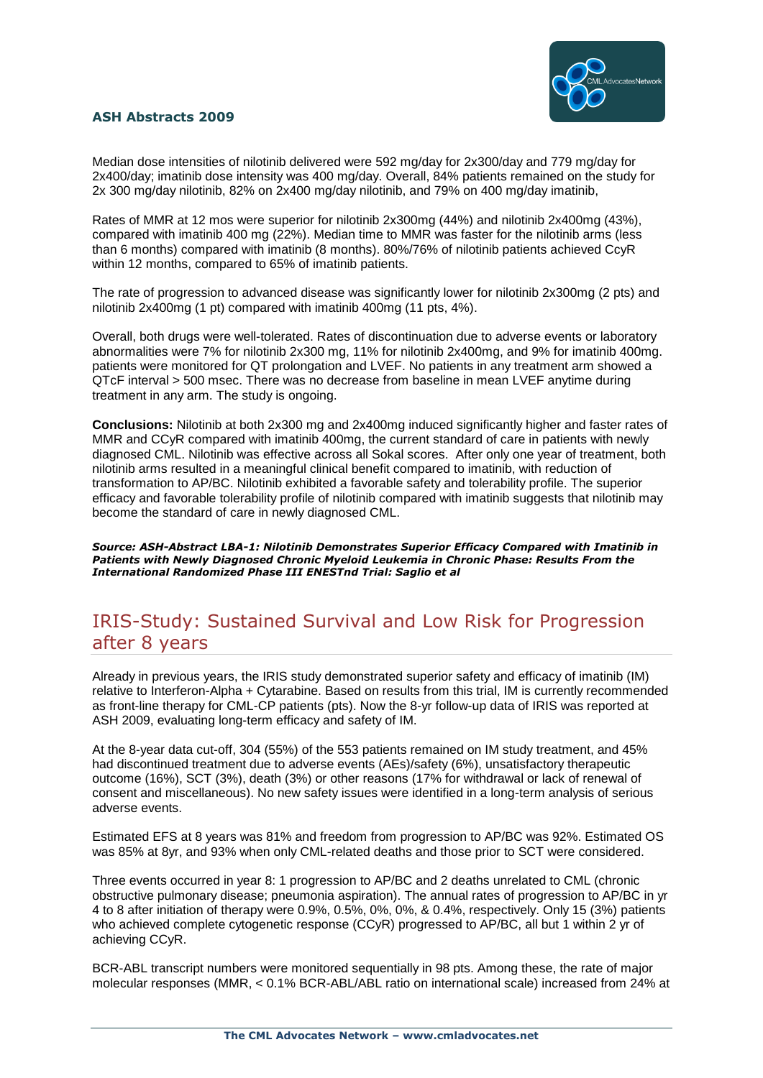

Median dose intensities of nilotinib delivered were 592 mg/day for 2x300/day and 779 mg/day for 2x400/day; imatinib dose intensity was 400 mg/day. Overall, 84% patients remained on the study for 2x 300 mg/day nilotinib, 82% on 2x400 mg/day nilotinib, and 79% on 400 mg/day imatinib,

Rates of MMR at 12 mos were superior for nilotinib 2x300mg (44%) and nilotinib 2x400mg (43%), compared with imatinib 400 mg (22%). Median time to MMR was faster for the nilotinib arms (less than 6 months) compared with imatinib (8 months). 80%/76% of nilotinib patients achieved CcyR within 12 months, compared to 65% of imatinib patients.

The rate of progression to advanced disease was significantly lower for nilotinib 2x300mg (2 pts) and nilotinib 2x400mg (1 pt) compared with imatinib 400mg (11 pts, 4%).

Overall, both drugs were well-tolerated. Rates of discontinuation due to adverse events or laboratory abnormalities were 7% for nilotinib 2x300 mg, 11% for nilotinib 2x400mg, and 9% for imatinib 400mg. patients were monitored for QT prolongation and LVEF. No patients in any treatment arm showed a QTcF interval > 500 msec. There was no decrease from baseline in mean LVEF anytime during treatment in any arm. The study is ongoing.

**Conclusions:** Nilotinib at both 2x300 mg and 2x400mg induced significantly higher and faster rates of MMR and CCyR compared with imatinib 400mg, the current standard of care in patients with newly diagnosed CML. Nilotinib was effective across all Sokal scores. After only one year of treatment, both nilotinib arms resulted in a meaningful clinical benefit compared to imatinib, with reduction of transformation to AP/BC. Nilotinib exhibited a favorable safety and tolerability profile. The superior efficacy and favorable tolerability profile of nilotinib compared with imatinib suggests that nilotinib may become the standard of care in newly diagnosed CML.

*Source: ASH-Abstract LBA-1: Nilotinib Demonstrates Superior Efficacy Compared with Imatinib in Patients with Newly Diagnosed Chronic Myeloid Leukemia in Chronic Phase: Results From the International Randomized Phase III ENESTnd Trial: Saglio et al*

## IRIS-Study: Sustained Survival and Low Risk for Progression after 8 years

Already in previous years, the IRIS study demonstrated superior safety and efficacy of imatinib (IM) relative to Interferon-Alpha + Cytarabine. Based on results from this trial, IM is currently recommended as front-line therapy for CML-CP patients (pts). Now the 8-yr follow-up data of IRIS was reported at ASH 2009, evaluating long-term efficacy and safety of IM.

At the 8-year data cut-off, 304 (55%) of the 553 patients remained on IM study treatment, and 45% had discontinued treatment due to adverse events (AEs)/safety (6%), unsatisfactory therapeutic outcome (16%), SCT (3%), death (3%) or other reasons (17% for withdrawal or lack of renewal of consent and miscellaneous). No new safety issues were identified in a long-term analysis of serious adverse events.

Estimated EFS at 8 years was 81% and freedom from progression to AP/BC was 92%. Estimated OS was 85% at 8yr, and 93% when only CML-related deaths and those prior to SCT were considered.

Three events occurred in year 8: 1 progression to AP/BC and 2 deaths unrelated to CML (chronic obstructive pulmonary disease; pneumonia aspiration). The annual rates of progression to AP/BC in yr 4 to 8 after initiation of therapy were 0.9%, 0.5%, 0%, 0%, & 0.4%, respectively. Only 15 (3%) patients who achieved complete cytogenetic response (CCyR) progressed to AP/BC, all but 1 within 2 yr of achieving CCyR.

BCR-ABL transcript numbers were monitored sequentially in 98 pts. Among these, the rate of major molecular responses (MMR, < 0.1% BCR-ABL/ABL ratio on international scale) increased from 24% at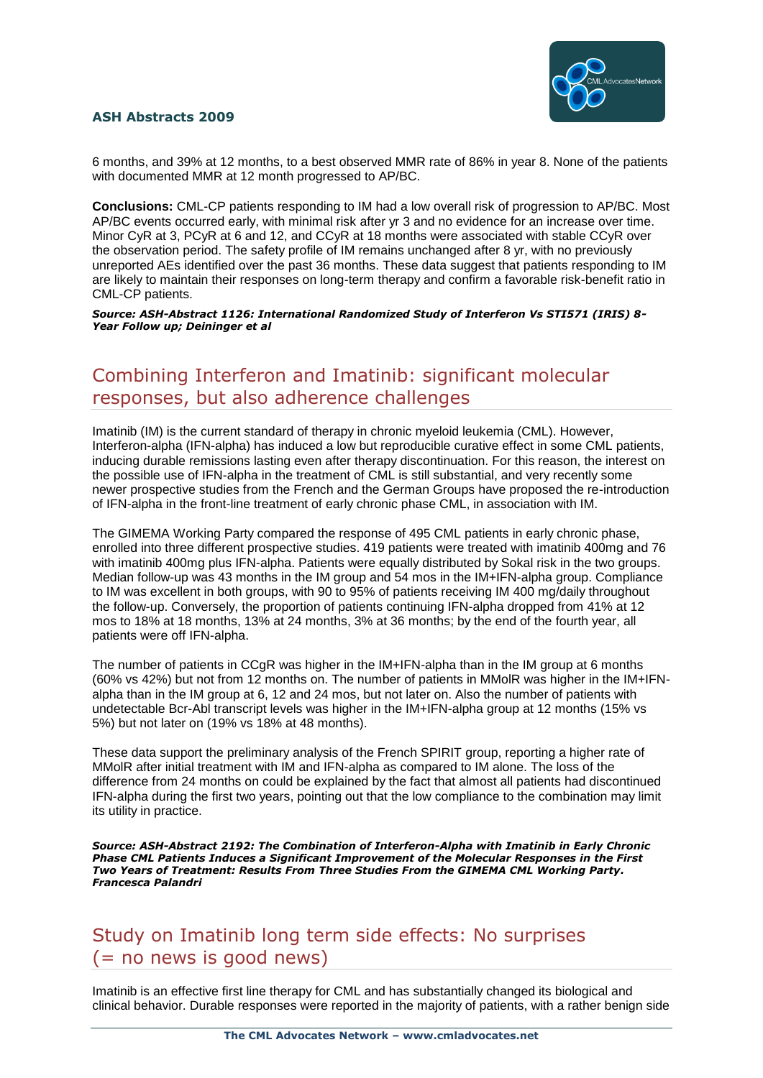

6 months, and 39% at 12 months, to a best observed MMR rate of 86% in year 8. None of the patients with documented MMR at 12 month progressed to AP/BC.

**Conclusions:** CML-CP patients responding to IM had a low overall risk of progression to AP/BC. Most AP/BC events occurred early, with minimal risk after yr 3 and no evidence for an increase over time. Minor CyR at 3, PCyR at 6 and 12, and CCyR at 18 months were associated with stable CCyR over the observation period. The safety profile of IM remains unchanged after 8 yr, with no previously unreported AEs identified over the past 36 months. These data suggest that patients responding to IM are likely to maintain their responses on long-term therapy and confirm a favorable risk-benefit ratio in CML-CP patients.

*Source: ASH-Abstract 1126: International Randomized Study of Interferon Vs STI571 (IRIS) 8- Year Follow up; Deininger et al*

## Combining Interferon and Imatinib: significant molecular responses, but also adherence challenges

Imatinib (IM) is the current standard of therapy in chronic myeloid leukemia (CML). However, Interferon-alpha (IFN-alpha) has induced a low but reproducible curative effect in some CML patients, inducing durable remissions lasting even after therapy discontinuation. For this reason, the interest on the possible use of IFN-alpha in the treatment of CML is still substantial, and very recently some newer prospective studies from the French and the German Groups have proposed the re-introduction of IFN-alpha in the front-line treatment of early chronic phase CML, in association with IM.

The GIMEMA Working Party compared the response of 495 CML patients in early chronic phase, enrolled into three different prospective studies. 419 patients were treated with imatinib 400mg and 76 with imatinib 400mg plus IFN-alpha. Patients were equally distributed by Sokal risk in the two groups. Median follow-up was 43 months in the IM group and 54 mos in the IM+IFN-alpha group. Compliance to IM was excellent in both groups, with 90 to 95% of patients receiving IM 400 mg/daily throughout the follow-up. Conversely, the proportion of patients continuing IFN-alpha dropped from 41% at 12 mos to 18% at 18 months, 13% at 24 months, 3% at 36 months; by the end of the fourth year, all patients were off IFN-alpha.

The number of patients in CCgR was higher in the IM+IFN-alpha than in the IM group at 6 months (60% vs 42%) but not from 12 months on. The number of patients in MMolR was higher in the IM+IFNalpha than in the IM group at 6, 12 and 24 mos, but not later on. Also the number of patients with undetectable Bcr-Abl transcript levels was higher in the IM+IFN-alpha group at 12 months (15% vs 5%) but not later on (19% vs 18% at 48 months).

These data support the preliminary analysis of the French SPIRIT group, reporting a higher rate of MMolR after initial treatment with IM and IFN-alpha as compared to IM alone. The loss of the difference from 24 months on could be explained by the fact that almost all patients had discontinued IFN-alpha during the first two years, pointing out that the low compliance to the combination may limit its utility in practice.

*Source: ASH-Abstract 2192: The Combination of Interferon-Alpha with Imatinib in Early Chronic Phase CML Patients Induces a Significant Improvement of the Molecular Responses in the First Two Years of Treatment: Results From Three Studies From the GIMEMA CML Working Party. Francesca Palandri*

## Study on Imatinib long term side effects: No surprises (= no news is good news)

Imatinib is an effective first line therapy for CML and has substantially changed its biological and clinical behavior. Durable responses were reported in the majority of patients, with a rather benign side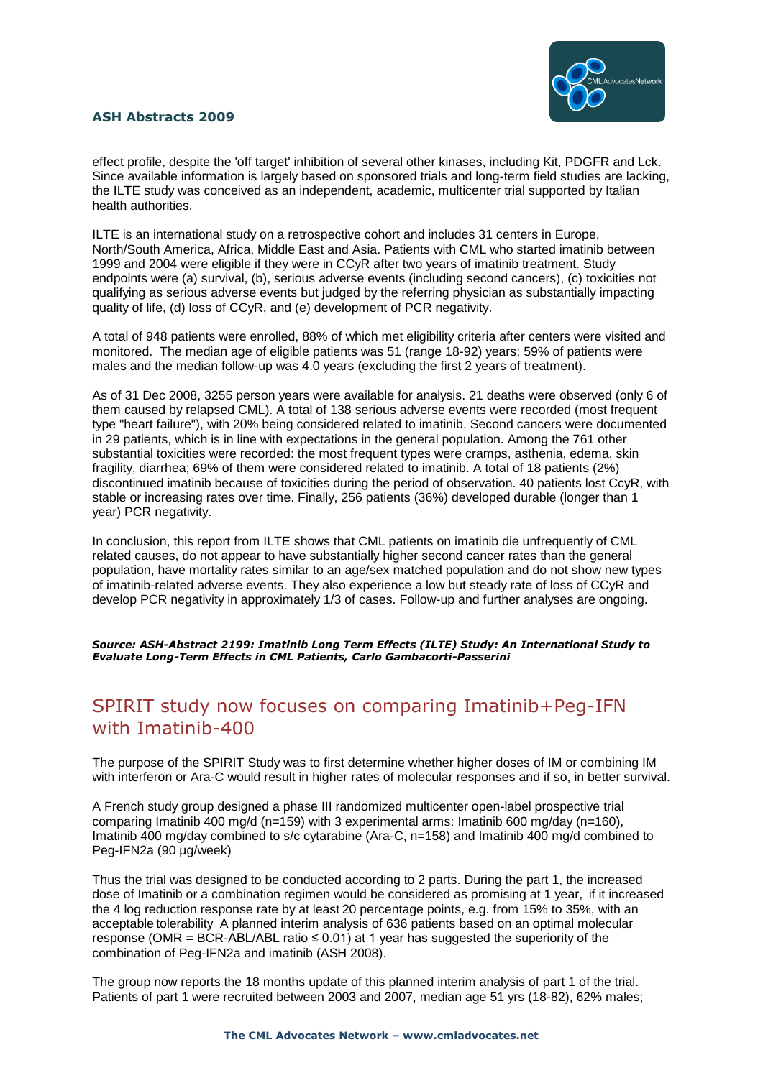

effect profile, despite the 'off target' inhibition of several other kinases, including Kit, PDGFR and Lck. Since available information is largely based on sponsored trials and long-term field studies are lacking, the ILTE study was conceived as an independent, academic, multicenter trial supported by Italian health authorities.

ILTE is an international study on a retrospective cohort and includes 31 centers in Europe, North/South America, Africa, Middle East and Asia. Patients with CML who started imatinib between 1999 and 2004 were eligible if they were in CCyR after two years of imatinib treatment. Study endpoints were (a) survival, (b), serious adverse events (including second cancers), (c) toxicities not qualifying as serious adverse events but judged by the referring physician as substantially impacting quality of life, (d) loss of CCyR, and (e) development of PCR negativity.

A total of 948 patients were enrolled, 88% of which met eligibility criteria after centers were visited and monitored. The median age of eligible patients was 51 (range 18-92) years; 59% of patients were males and the median follow-up was 4.0 years (excluding the first 2 years of treatment).

As of 31 Dec 2008, 3255 person years were available for analysis. 21 deaths were observed (only 6 of them caused by relapsed CML). A total of 138 serious adverse events were recorded (most frequent type "heart failure"), with 20% being considered related to imatinib. Second cancers were documented in 29 patients, which is in line with expectations in the general population. Among the 761 other substantial toxicities were recorded: the most frequent types were cramps, asthenia, edema, skin fragility, diarrhea; 69% of them were considered related to imatinib. A total of 18 patients (2%) discontinued imatinib because of toxicities during the period of observation. 40 patients lost CcyR, with stable or increasing rates over time. Finally, 256 patients (36%) developed durable (longer than 1 year) PCR negativity.

In conclusion, this report from ILTE shows that CML patients on imatinib die unfrequently of CML related causes, do not appear to have substantially higher second cancer rates than the general population, have mortality rates similar to an age/sex matched population and do not show new types of imatinib-related adverse events. They also experience a low but steady rate of loss of CCyR and develop PCR negativity in approximately 1/3 of cases. Follow-up and further analyses are ongoing.

*Source: ASH-Abstract 2199: Imatinib Long Term Effects (ILTE) Study: An International Study to Evaluate Long-Term Effects in CML Patients, Carlo Gambacorti-Passerini*

### SPIRIT study now focuses on comparing Imatinib+Peg-IFN with Imatinib-400

The purpose of the SPIRIT Study was to first determine whether higher doses of IM or combining IM with interferon or Ara-C would result in higher rates of molecular responses and if so, in better survival.

A French study group designed a phase III randomized multicenter open-label prospective trial comparing Imatinib 400 mg/d (n=159) with 3 experimental arms: Imatinib 600 mg/day (n=160), Imatinib 400 mg/day combined to s/c cytarabine (Ara-C, n=158) and Imatinib 400 mg/d combined to Peg-IFN2a (90 µg/week)

Thus the trial was designed to be conducted according to 2 parts. During the part 1, the increased dose of Imatinib or a combination regimen would be considered as promising at 1 year, if it increased the 4 log reduction response rate by at least 20 percentage points, e.g. from 15% to 35%, with an acceptable tolerability A planned interim analysis of 636 patients based on an optimal molecular response (OMR = BCR-ABL/ABL ratio  $\leq 0.01$ ) at 1 year has suggested the superiority of the combination of Peg-IFN2a and imatinib (ASH 2008).

The group now reports the 18 months update of this planned interim analysis of part 1 of the trial. Patients of part 1 were recruited between 2003 and 2007, median age 51 yrs (18-82), 62% males;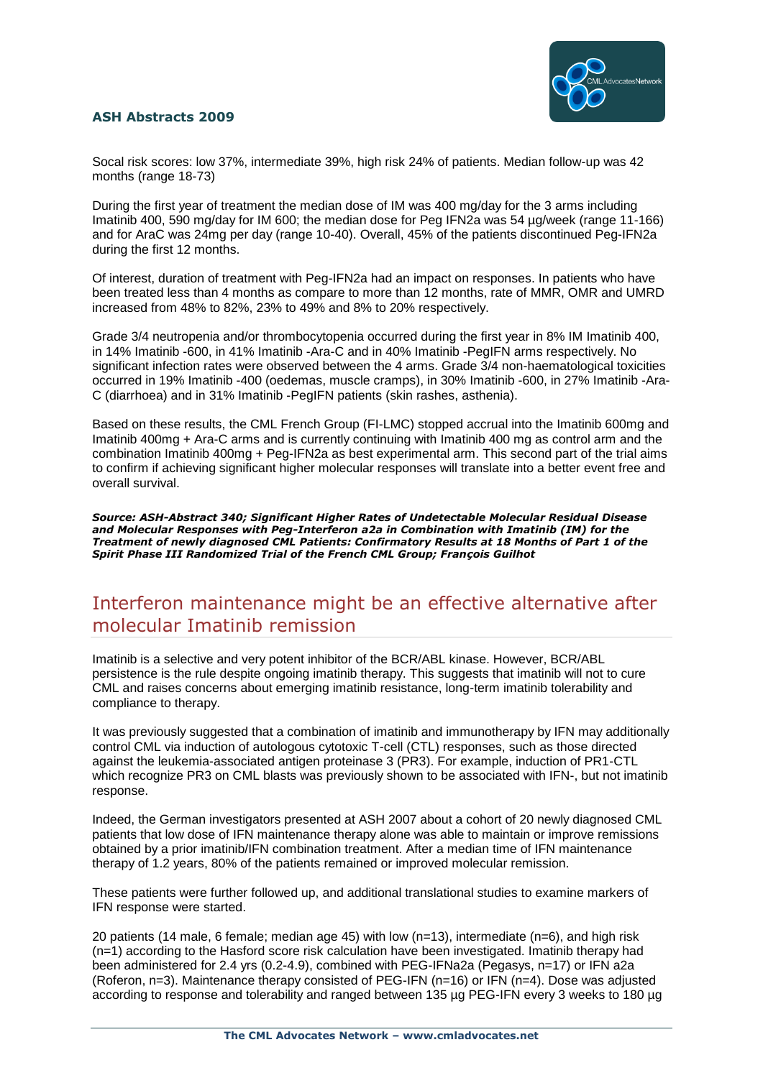

Socal risk scores: low 37%, intermediate 39%, high risk 24% of patients. Median follow-up was 42 months (range 18-73)

During the first year of treatment the median dose of IM was 400 mg/day for the 3 arms including Imatinib 400, 590 mg/day for IM 600; the median dose for Peg IFN2a was 54 µg/week (range 11-166) and for AraC was 24mg per day (range 10-40). Overall, 45% of the patients discontinued Peg-IFN2a during the first 12 months.

Of interest, duration of treatment with Peg-IFN2a had an impact on responses. In patients who have been treated less than 4 months as compare to more than 12 months, rate of MMR, OMR and UMRD increased from 48% to 82%, 23% to 49% and 8% to 20% respectively.

Grade 3/4 neutropenia and/or thrombocytopenia occurred during the first year in 8% IM Imatinib 400, in 14% Imatinib -600, in 41% Imatinib -Ara-C and in 40% Imatinib -PegIFN arms respectively. No significant infection rates were observed between the 4 arms. Grade 3/4 non-haematological toxicities occurred in 19% Imatinib -400 (oedemas, muscle cramps), in 30% Imatinib -600, in 27% Imatinib -Ara-C (diarrhoea) and in 31% Imatinib -PegIFN patients (skin rashes, asthenia).

Based on these results, the CML French Group (FI-LMC) stopped accrual into the Imatinib 600mg and Imatinib 400mg + Ara-C arms and is currently continuing with Imatinib 400 mg as control arm and the combination Imatinib 400mg + Peg-IFN2a as best experimental arm. This second part of the trial aims to confirm if achieving significant higher molecular responses will translate into a better event free and overall survival.

*Source: ASH-Abstract 340; Significant Higher Rates of Undetectable Molecular Residual Disease and Molecular Responses with Peg-Interferon a2a in Combination with Imatinib (IM) for the Treatment of newly diagnosed CML Patients: Confirmatory Results at 18 Months of Part 1 of the Spirit Phase III Randomized Trial of the French CML Group; François Guilhot*

### Interferon maintenance might be an effective alternative after molecular Imatinib remission

Imatinib is a selective and very potent inhibitor of the BCR/ABL kinase. However, BCR/ABL persistence is the rule despite ongoing imatinib therapy. This suggests that imatinib will not to cure CML and raises concerns about emerging imatinib resistance, long-term imatinib tolerability and compliance to therapy.

It was previously suggested that a combination of imatinib and immunotherapy by IFN may additionally control CML via induction of autologous cytotoxic T-cell (CTL) responses, such as those directed against the leukemia-associated antigen proteinase 3 (PR3). For example, induction of PR1-CTL which recognize PR3 on CML blasts was previously shown to be associated with IFN-, but not imatinib response.

Indeed, the German investigators presented at ASH 2007 about a cohort of 20 newly diagnosed CML patients that low dose of IFN maintenance therapy alone was able to maintain or improve remissions obtained by a prior imatinib/IFN combination treatment. After a median time of IFN maintenance therapy of 1.2 years, 80% of the patients remained or improved molecular remission.

These patients were further followed up, and additional translational studies to examine markers of IFN response were started.

20 patients (14 male, 6 female; median age 45) with low ( $n=13$ ), intermediate ( $n=6$ ), and high risk (n=1) according to the Hasford score risk calculation have been investigated. Imatinib therapy had been administered for 2.4 yrs (0.2-4.9), combined with PEG-IFNa2a (Pegasys, n=17) or IFN a2a (Roferon, n=3). Maintenance therapy consisted of PEG-IFN (n=16) or IFN (n=4). Dose was adjusted according to response and tolerability and ranged between 135 µg PEG-IFN every 3 weeks to 180 µg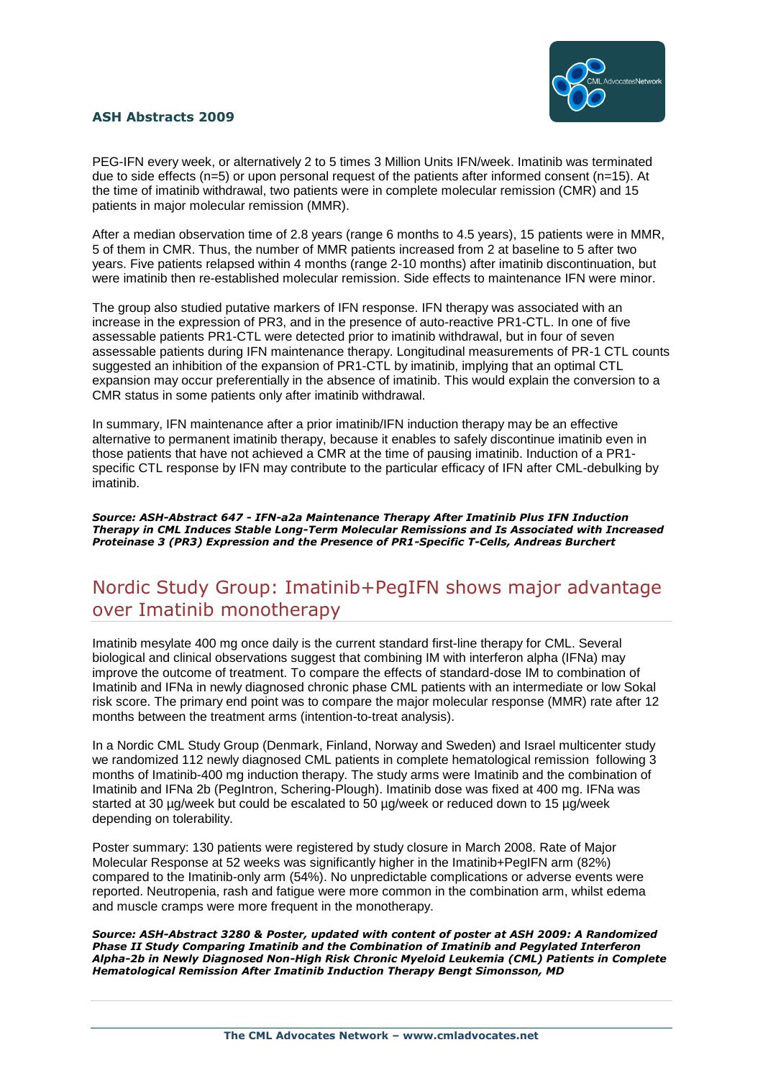

PEG-IFN every week, or alternatively 2 to 5 times 3 Million Units IFN/week. Imatinib was terminated due to side effects ( $n=5$ ) or upon personal request of the patients after informed consent ( $n=15$ ). At the time of imatinib withdrawal, two patients were in complete molecular remission (CMR) and 15 patients in major molecular remission (MMR).

After a median observation time of 2.8 years (range 6 months to 4.5 years), 15 patients were in MMR, 5 of them in CMR. Thus, the number of MMR patients increased from 2 at baseline to 5 after two years. Five patients relapsed within 4 months (range 2-10 months) after imatinib discontinuation, but were imatinib then re-established molecular remission. Side effects to maintenance IFN were minor.

The group also studied putative markers of IFN response. IFN therapy was associated with an increase in the expression of PR3, and in the presence of auto-reactive PR1-CTL. In one of five assessable patients PR1-CTL were detected prior to imatinib withdrawal, but in four of seven assessable patients during IFN maintenance therapy. Longitudinal measurements of PR-1 CTL counts suggested an inhibition of the expansion of PR1-CTL by imatinib, implying that an optimal CTL expansion may occur preferentially in the absence of imatinib. This would explain the conversion to a CMR status in some patients only after imatinib withdrawal.

In summary, IFN maintenance after a prior imatinib/IFN induction therapy may be an effective alternative to permanent imatinib therapy, because it enables to safely discontinue imatinib even in those patients that have not achieved a CMR at the time of pausing imatinib. Induction of a PR1 specific CTL response by IFN may contribute to the particular efficacy of IFN after CML-debulking by imatinib.

*Source: ASH-Abstract 647 - IFN-a2a Maintenance Therapy After Imatinib Plus IFN Induction Therapy in CML Induces Stable Long-Term Molecular Remissions and Is Associated with Increased Proteinase 3 (PR3) Expression and the Presence of PR1-Specific T-Cells, Andreas Burchert*

### Nordic Study Group: Imatinib+PegIFN shows major advantage over Imatinib monotherapy

Imatinib mesylate 400 mg once daily is the current standard first-line therapy for CML. Several biological and clinical observations suggest that combining IM with interferon alpha (IFNa) may improve the outcome of treatment. To compare the effects of standard-dose IM to combination of Imatinib and IFNa in newly diagnosed chronic phase CML patients with an intermediate or low Sokal risk score. The primary end point was to compare the major molecular response (MMR) rate after 12 months between the treatment arms (intention-to-treat analysis).

In a Nordic CML Study Group (Denmark, Finland, Norway and Sweden) and Israel multicenter study we randomized 112 newly diagnosed CML patients in complete hematological remission following 3 months of Imatinib-400 mg induction therapy. The study arms were Imatinib and the combination of Imatinib and IFNa 2b (PegIntron, Schering-Plough). Imatinib dose was fixed at 400 mg. IFNa was started at 30 µg/week but could be escalated to 50 µg/week or reduced down to 15 µg/week depending on tolerability.

Poster summary: 130 patients were registered by study closure in March 2008. Rate of Major Molecular Response at 52 weeks was significantly higher in the Imatinib+PegIFN arm (82%) compared to the Imatinib-only arm (54%). No unpredictable complications or adverse events were reported. Neutropenia, rash and fatigue were more common in the combination arm, whilst edema and muscle cramps were more frequent in the monotherapy.

*Source: ASH-Abstract 3280 & Poster, updated with content of poster at ASH 2009: A Randomized Phase II Study Comparing Imatinib and the Combination of Imatinib and Pegylated Interferon Alpha-2b in Newly Diagnosed Non-High Risk Chronic Myeloid Leukemia (CML) Patients in Complete Hematological Remission After Imatinib Induction Therapy Bengt Simonsson, MD*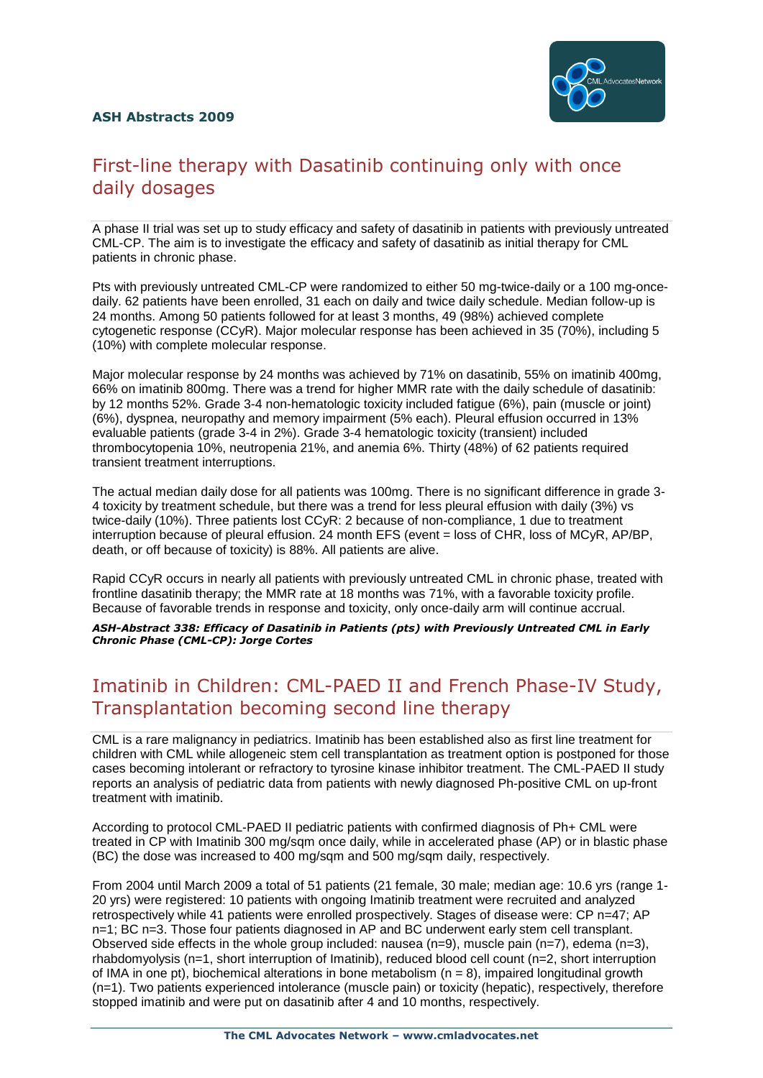

## First-line therapy with Dasatinib continuing only with once daily dosages

A phase II trial was set up to study efficacy and safety of dasatinib in patients with previously untreated CML-CP. The aim is to investigate the efficacy and safety of dasatinib as initial therapy for CML patients in chronic phase.

Pts with previously untreated CML-CP were randomized to either 50 mg-twice-daily or a 100 mg-oncedaily. 62 patients have been enrolled, 31 each on daily and twice daily schedule. Median follow-up is 24 months. Among 50 patients followed for at least 3 months, 49 (98%) achieved complete cytogenetic response (CCyR). Major molecular response has been achieved in 35 (70%), including 5 (10%) with complete molecular response.

Major molecular response by 24 months was achieved by 71% on dasatinib, 55% on imatinib 400mg, 66% on imatinib 800mg. There was a trend for higher MMR rate with the daily schedule of dasatinib: by 12 months 52%. Grade 3-4 non-hematologic toxicity included fatigue (6%), pain (muscle or joint) (6%), dyspnea, neuropathy and memory impairment (5% each). Pleural effusion occurred in 13% evaluable patients (grade 3-4 in 2%). Grade 3-4 hematologic toxicity (transient) included thrombocytopenia 10%, neutropenia 21%, and anemia 6%. Thirty (48%) of 62 patients required transient treatment interruptions.

The actual median daily dose for all patients was 100mg. There is no significant difference in grade 3- 4 toxicity by treatment schedule, but there was a trend for less pleural effusion with daily (3%) vs twice-daily (10%). Three patients lost CCyR: 2 because of non-compliance, 1 due to treatment interruption because of pleural effusion. 24 month EFS (event = loss of CHR, loss of MCyR, AP/BP, death, or off because of toxicity) is 88%. All patients are alive.

Rapid CCyR occurs in nearly all patients with previously untreated CML in chronic phase, treated with frontline dasatinib therapy; the MMR rate at 18 months was 71%, with a favorable toxicity profile. Because of favorable trends in response and toxicity, only once-daily arm will continue accrual.

*ASH-Abstract 338: Efficacy of Dasatinib in Patients (pts) with Previously Untreated CML in Early Chronic Phase (CML-CP): Jorge Cortes*

## Imatinib in Children: CML-PAED II and French Phase-IV Study, Transplantation becoming second line therapy

CML is a rare malignancy in pediatrics. Imatinib has been established also as first line treatment for children with CML while allogeneic stem cell transplantation as treatment option is postponed for those cases becoming intolerant or refractory to tyrosine kinase inhibitor treatment. The CML-PAED II study reports an analysis of pediatric data from patients with newly diagnosed Ph-positive CML on up-front treatment with imatinib.

According to protocol CML-PAED II pediatric patients with confirmed diagnosis of Ph+ CML were treated in CP with Imatinib 300 mg/sqm once daily, while in accelerated phase (AP) or in blastic phase (BC) the dose was increased to 400 mg/sqm and 500 mg/sqm daily, respectively.

From 2004 until March 2009 a total of 51 patients (21 female, 30 male; median age: 10.6 yrs (range 1- 20 yrs) were registered: 10 patients with ongoing Imatinib treatment were recruited and analyzed retrospectively while 41 patients were enrolled prospectively. Stages of disease were: CP n=47; AP n=1; BC n=3. Those four patients diagnosed in AP and BC underwent early stem cell transplant. Observed side effects in the whole group included: nausea  $(n=9)$ , muscle pain  $(n=7)$ , edema  $(n=3)$ , rhabdomyolysis (n=1, short interruption of Imatinib), reduced blood cell count (n=2, short interruption of IMA in one pt), biochemical alterations in bone metabolism ( $n = 8$ ), impaired longitudinal growth (n=1). Two patients experienced intolerance (muscle pain) or toxicity (hepatic), respectively, therefore stopped imatinib and were put on dasatinib after 4 and 10 months, respectively.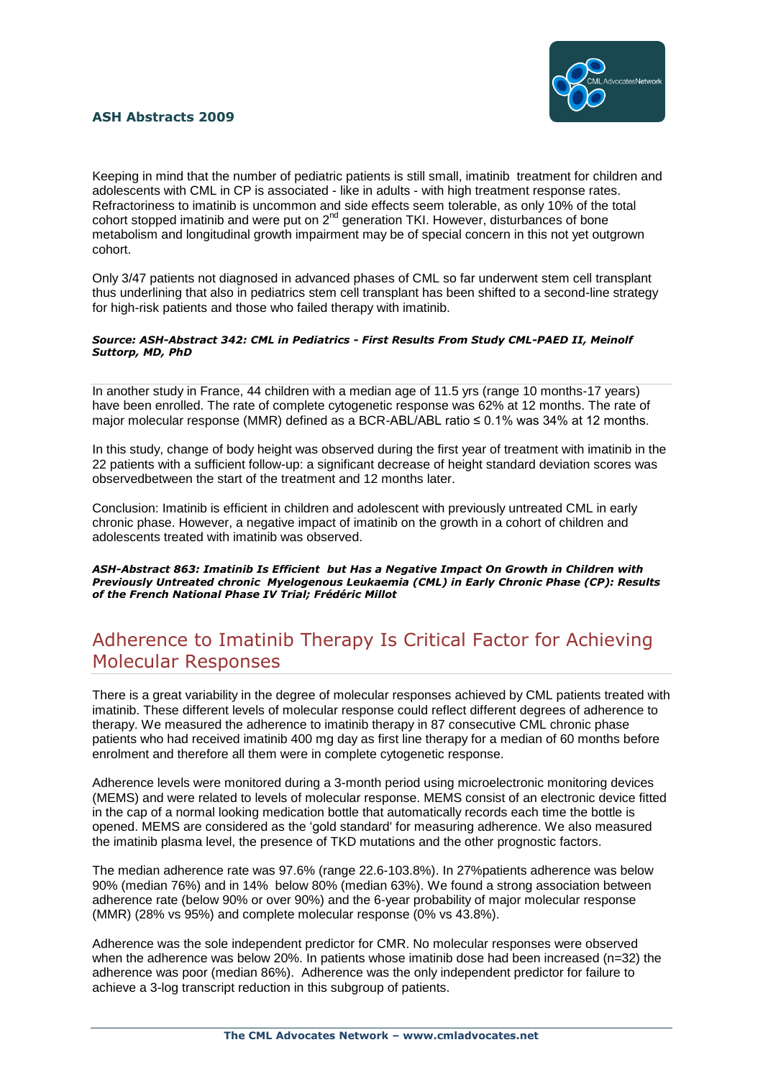

Keeping in mind that the number of pediatric patients is still small, imatinib treatment for children and adolescents with CML in CP is associated - like in adults - with high treatment response rates. Refractoriness to imatinib is uncommon and side effects seem tolerable, as only 10% of the total cohort stopped imatinib and were put on  $2^{nd}$  generation TKI. However, disturbances of bone metabolism and longitudinal growth impairment may be of special concern in this not yet outgrown cohort.

Only 3/47 patients not diagnosed in advanced phases of CML so far underwent stem cell transplant thus underlining that also in pediatrics stem cell transplant has been shifted to a second-line strategy for high-risk patients and those who failed therapy with imatinib.

#### *Source: ASH-Abstract 342: CML in Pediatrics - First Results From Study CML-PAED II, Meinolf Suttorp, MD, PhD*

In another study in France, 44 children with a median age of 11.5 yrs (range 10 months-17 years) have been enrolled. The rate of complete cytogenetic response was 62% at 12 months. The rate of major molecular response (MMR) defined as a BCR-ABL/ABL ratio  $\leq 0.1\%$  was 34% at 12 months.

In this study, change of body height was observed during the first year of treatment with imatinib in the 22 patients with a sufficient follow-up: a significant decrease of height standard deviation scores was observedbetween the start of the treatment and 12 months later.

Conclusion: Imatinib is efficient in children and adolescent with previously untreated CML in early chronic phase. However, a negative impact of imatinib on the growth in a cohort of children and adolescents treated with imatinib was observed.

*ASH-Abstract 863: Imatinib Is Efficient but Has a Negative Impact On Growth in Children with Previously Untreated chronic Myelogenous Leukaemia (CML) in Early Chronic Phase (CP): Results of the French National Phase IV Trial; Frédéric Millot*

## Adherence to Imatinib Therapy Is Critical Factor for Achieving Molecular Responses

There is a great variability in the degree of molecular responses achieved by CML patients treated with imatinib. These different levels of molecular response could reflect different degrees of adherence to therapy. We measured the adherence to imatinib therapy in 87 consecutive CML chronic phase patients who had received imatinib 400 mg day as first line therapy for a median of 60 months before enrolment and therefore all them were in complete cytogenetic response.

Adherence levels were monitored during a 3-month period using microelectronic monitoring devices (MEMS) and were related to levels of molecular response. MEMS consist of an electronic device fitted in the cap of a normal looking medication bottle that automatically records each time the bottle is opened. MEMS are considered as the "gold standard' for measuring adherence. We also measured the imatinib plasma level, the presence of TKD mutations and the other prognostic factors.

The median adherence rate was 97.6% (range 22.6-103.8%). In 27%patients adherence was below 90% (median 76%) and in 14% below 80% (median 63%). We found a strong association between adherence rate (below 90% or over 90%) and the 6-year probability of major molecular response (MMR) (28% vs 95%) and complete molecular response (0% vs 43.8%).

Adherence was the sole independent predictor for CMR. No molecular responses were observed when the adherence was below 20%. In patients whose imatinib dose had been increased (n=32) the adherence was poor (median 86%). Adherence was the only independent predictor for failure to achieve a 3-log transcript reduction in this subgroup of patients.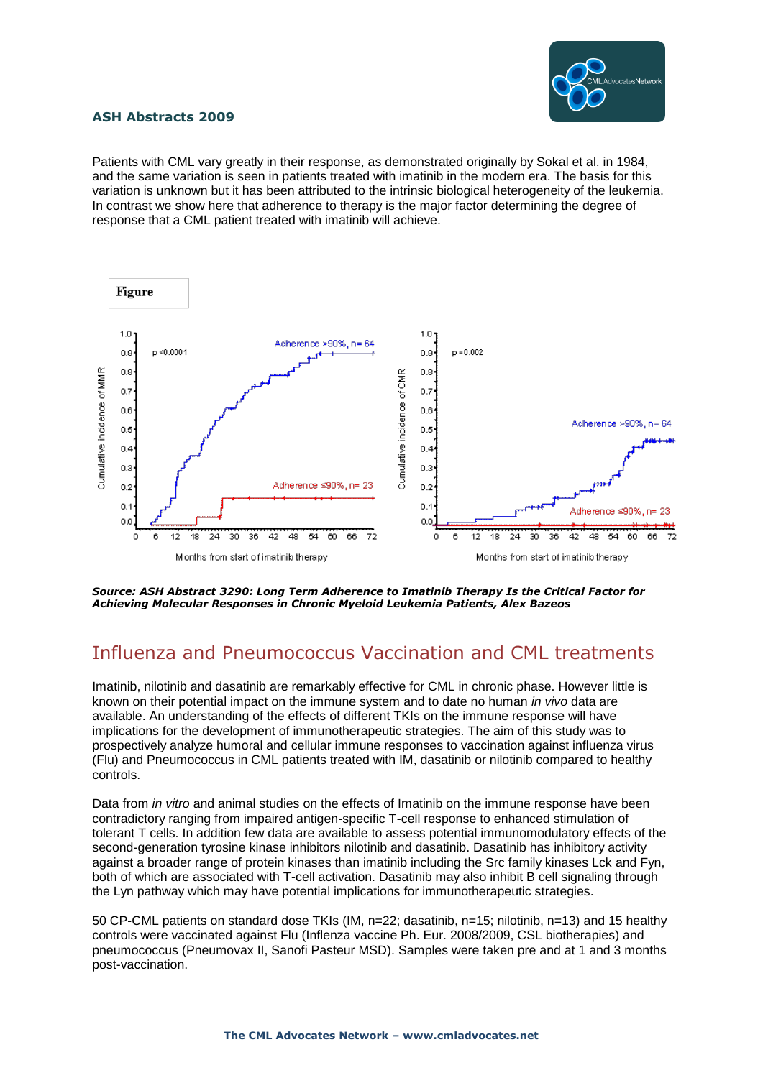

Patients with CML vary greatly in their response, as demonstrated originally by Sokal et al. in 1984, and the same variation is seen in patients treated with imatinib in the modern era. The basis for this variation is unknown but it has been attributed to the intrinsic biological heterogeneity of the leukemia. In contrast we show here that adherence to therapy is the major factor determining the degree of response that a CML patient treated with imatinib will achieve.



#### *Source: ASH Abstract 3290: Long Term Adherence to Imatinib Therapy Is the Critical Factor for Achieving Molecular Responses in Chronic Myeloid Leukemia Patients, Alex Bazeos*

## Influenza and Pneumococcus Vaccination and CML treatments

Imatinib, nilotinib and dasatinib are remarkably effective for CML in chronic phase. However little is known on their potential impact on the immune system and to date no human *in vivo* data are available. An understanding of the effects of different TKIs on the immune response will have implications for the development of immunotherapeutic strategies. The aim of this study was to prospectively analyze humoral and cellular immune responses to vaccination against influenza virus (Flu) and Pneumococcus in CML patients treated with IM, dasatinib or nilotinib compared to healthy controls.

Data from *in vitro* and animal studies on the effects of Imatinib on the immune response have been contradictory ranging from impaired antigen-specific T-cell response to enhanced stimulation of tolerant T cells. In addition few data are available to assess potential immunomodulatory effects of the second-generation tyrosine kinase inhibitors nilotinib and dasatinib. Dasatinib has inhibitory activity against a broader range of protein kinases than imatinib including the Src family kinases Lck and Fyn, both of which are associated with T-cell activation. Dasatinib may also inhibit B cell signaling through the Lyn pathway which may have potential implications for immunotherapeutic strategies.

50 CP-CML patients on standard dose TKIs (IM, n=22; dasatinib, n=15; nilotinib, n=13) and 15 healthy controls were vaccinated against Flu (Inflenza vaccine Ph. Eur. 2008/2009, CSL biotherapies) and pneumococcus (Pneumovax II, Sanofi Pasteur MSD). Samples were taken pre and at 1 and 3 months post-vaccination.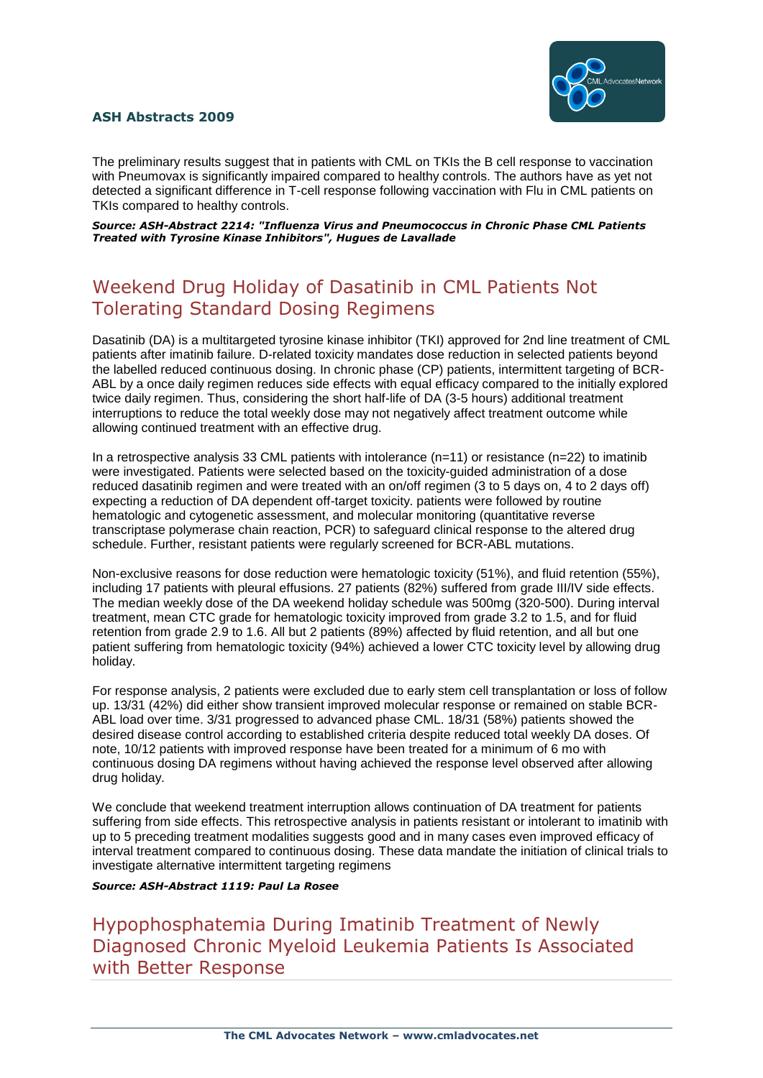

The preliminary results suggest that in patients with CML on TKIs the B cell response to vaccination with Pneumovax is significantly impaired compared to healthy controls. The authors have as yet not detected a significant difference in T-cell response following vaccination with Flu in CML patients on TKIs compared to healthy controls.

*Source: ASH-Abstract 2214: "Influenza Virus and Pneumococcus in Chronic Phase CML Patients Treated with Tyrosine Kinase Inhibitors", Hugues de Lavallade*

## Weekend Drug Holiday of Dasatinib in CML Patients Not Tolerating Standard Dosing Regimens

Dasatinib (DA) is a multitargeted tyrosine kinase inhibitor (TKI) approved for 2nd line treatment of CML patients after imatinib failure. D-related toxicity mandates dose reduction in selected patients beyond the labelled reduced continuous dosing. In chronic phase (CP) patients, intermittent targeting of BCR-ABL by a once daily regimen reduces side effects with equal efficacy compared to the initially explored twice daily regimen. Thus, considering the short half-life of DA (3-5 hours) additional treatment interruptions to reduce the total weekly dose may not negatively affect treatment outcome while allowing continued treatment with an effective drug.

In a retrospective analysis 33 CML patients with intolerance (n=11) or resistance (n=22) to imatinib were investigated. Patients were selected based on the toxicity-guided administration of a dose reduced dasatinib regimen and were treated with an on/off regimen (3 to 5 days on, 4 to 2 days off) expecting a reduction of DA dependent off-target toxicity. patients were followed by routine hematologic and cytogenetic assessment, and molecular monitoring (quantitative reverse transcriptase polymerase chain reaction, PCR) to safeguard clinical response to the altered drug schedule. Further, resistant patients were regularly screened for BCR-ABL mutations.

Non-exclusive reasons for dose reduction were hematologic toxicity (51%), and fluid retention (55%), including 17 patients with pleural effusions. 27 patients (82%) suffered from grade III/IV side effects. The median weekly dose of the DA weekend holiday schedule was 500mg (320-500). During interval treatment, mean CTC grade for hematologic toxicity improved from grade 3.2 to 1.5, and for fluid retention from grade 2.9 to 1.6. All but 2 patients (89%) affected by fluid retention, and all but one patient suffering from hematologic toxicity (94%) achieved a lower CTC toxicity level by allowing drug holiday.

For response analysis, 2 patients were excluded due to early stem cell transplantation or loss of follow up. 13/31 (42%) did either show transient improved molecular response or remained on stable BCR-ABL load over time. 3/31 progressed to advanced phase CML. 18/31 (58%) patients showed the desired disease control according to established criteria despite reduced total weekly DA doses. Of note, 10/12 patients with improved response have been treated for a minimum of 6 mo with continuous dosing DA regimens without having achieved the response level observed after allowing drug holiday.

We conclude that weekend treatment interruption allows continuation of DA treatment for patients suffering from side effects. This retrospective analysis in patients resistant or intolerant to imatinib with up to 5 preceding treatment modalities suggests good and in many cases even improved efficacy of interval treatment compared to continuous dosing. These data mandate the initiation of clinical trials to investigate alternative intermittent targeting regimens

#### *Source: ASH-Abstract 1119: Paul La Rosee*

Hypophosphatemia During Imatinib Treatment of Newly Diagnosed Chronic Myeloid Leukemia Patients Is Associated with Better Response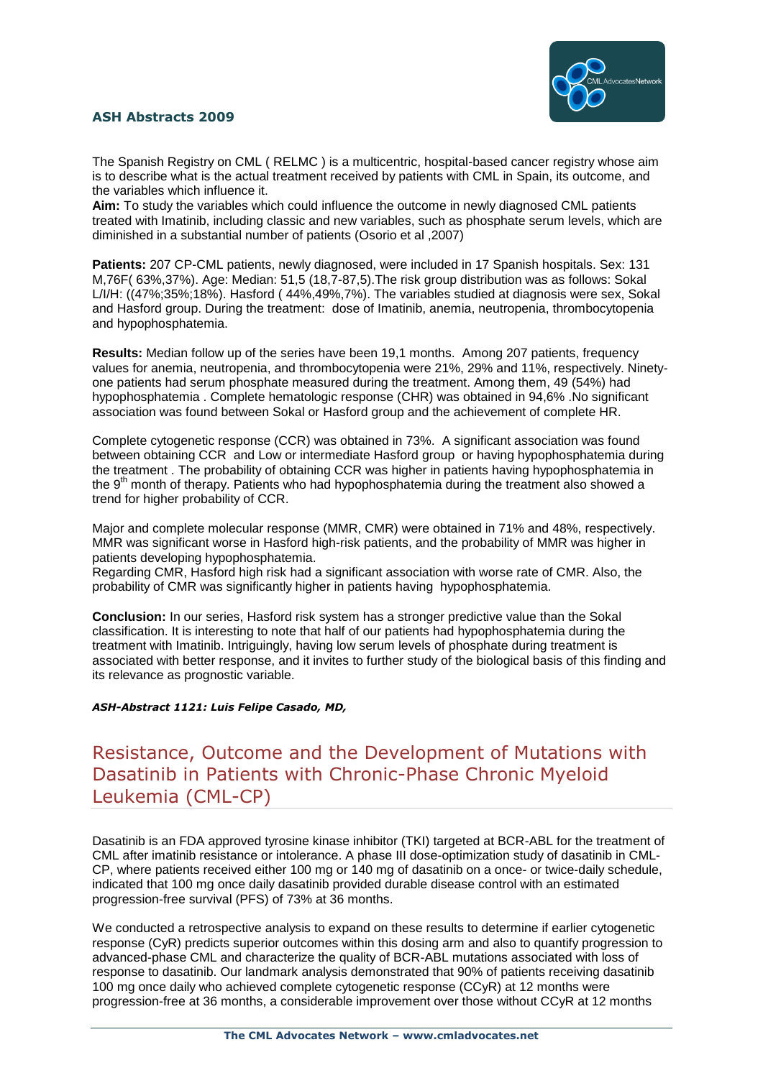

The Spanish Registry on CML ( RELMC ) is a multicentric, hospital-based cancer registry whose aim is to describe what is the actual treatment received by patients with CML in Spain, its outcome, and the variables which influence it.

**Aim:** To study the variables which could influence the outcome in newly diagnosed CML patients treated with Imatinib, including classic and new variables, such as phosphate serum levels, which are diminished in a substantial number of patients (Osorio et al ,2007)

**Patients:** 207 CP-CML patients, newly diagnosed, were included in 17 Spanish hospitals. Sex: 131 M,76F( 63%,37%). Age: Median: 51,5 (18,7-87,5).The risk group distribution was as follows: Sokal L/I/H: ((47%;35%;18%). Hasford ( 44%,49%,7%). The variables studied at diagnosis were sex, Sokal and Hasford group. During the treatment: dose of Imatinib, anemia, neutropenia, thrombocytopenia and hypophosphatemia.

**Results:** Median follow up of the series have been 19.1 months. Among 207 patients, frequency values for anemia, neutropenia, and thrombocytopenia were 21%, 29% and 11%, respectively. Ninetyone patients had serum phosphate measured during the treatment. Among them, 49 (54%) had hypophosphatemia . Complete hematologic response (CHR) was obtained in 94,6% .No significant association was found between Sokal or Hasford group and the achievement of complete HR.

Complete cytogenetic response (CCR) was obtained in 73%. A significant association was found between obtaining CCR and Low or intermediate Hasford group or having hypophosphatemia during the treatment . The probability of obtaining CCR was higher in patients having hypophosphatemia in the 9<sup>th</sup> month of therapy. Patients who had hypophosphatemia during the treatment also showed a trend for higher probability of CCR.

Major and complete molecular response (MMR, CMR) were obtained in 71% and 48%, respectively. MMR was significant worse in Hasford high-risk patients, and the probability of MMR was higher in patients developing hypophosphatemia.

Regarding CMR, Hasford high risk had a significant association with worse rate of CMR. Also, the probability of CMR was significantly higher in patients having hypophosphatemia.

**Conclusion:** In our series, Hasford risk system has a stronger predictive value than the Sokal classification. It is interesting to note that half of our patients had hypophosphatemia during the treatment with Imatinib. Intriguingly, having low serum levels of phosphate during treatment is associated with better response, and it invites to further study of the biological basis of this finding and its relevance as prognostic variable.

#### *ASH-Abstract 1121: Luis Felipe Casado, MD,*

### Resistance, Outcome and the Development of Mutations with Dasatinib in Patients with Chronic-Phase Chronic Myeloid Leukemia (CML-CP)

Dasatinib is an FDA approved tyrosine kinase inhibitor (TKI) targeted at BCR-ABL for the treatment of CML after imatinib resistance or intolerance. A phase III dose-optimization study of dasatinib in CML-CP, where patients received either 100 mg or 140 mg of dasatinib on a once- or twice-daily schedule, indicated that 100 mg once daily dasatinib provided durable disease control with an estimated progression-free survival (PFS) of 73% at 36 months.

We conducted a retrospective analysis to expand on these results to determine if earlier cytogenetic response (CyR) predicts superior outcomes within this dosing arm and also to quantify progression to advanced-phase CML and characterize the quality of BCR-ABL mutations associated with loss of response to dasatinib. Our landmark analysis demonstrated that 90% of patients receiving dasatinib 100 mg once daily who achieved complete cytogenetic response (CCyR) at 12 months were progression-free at 36 months, a considerable improvement over those without CCyR at 12 months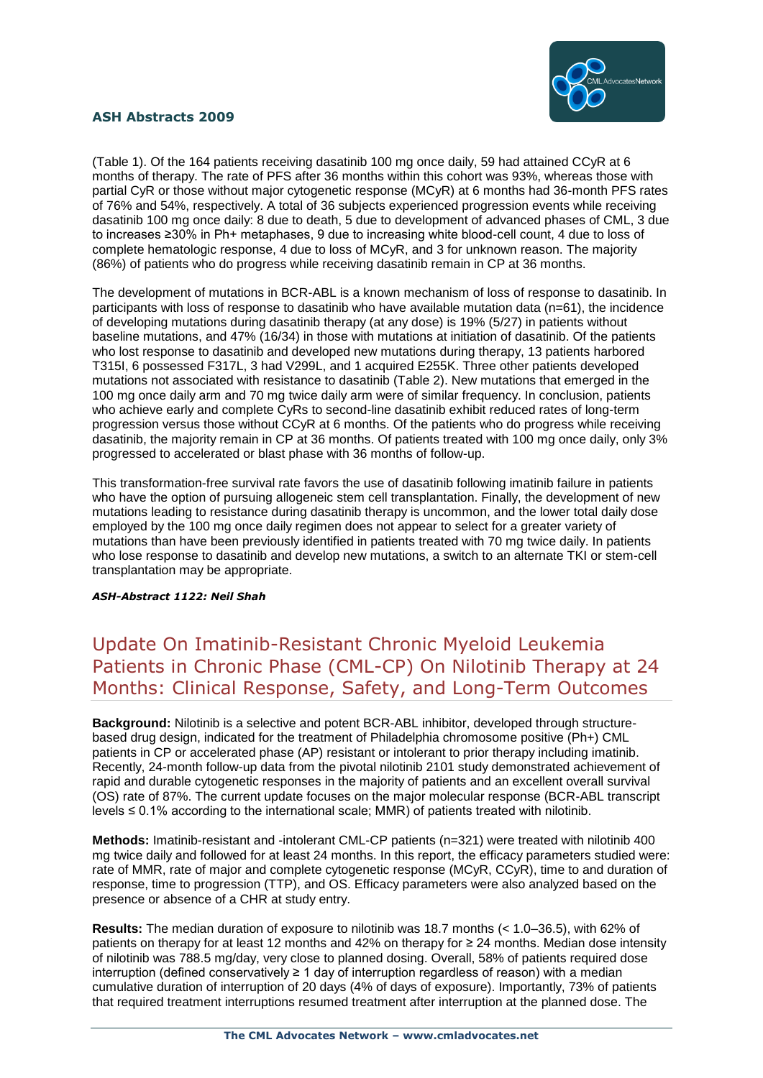

(Table 1). Of the 164 patients receiving dasatinib 100 mg once daily, 59 had attained CCyR at 6 months of therapy. The rate of PFS after 36 months within this cohort was 93%, whereas those with partial CyR or those without major cytogenetic response (MCyR) at 6 months had 36-month PFS rates of 76% and 54%, respectively. A total of 36 subjects experienced progression events while receiving dasatinib 100 mg once daily: 8 due to death, 5 due to development of advanced phases of CML, 3 due to increases ≥30% in Ph+ metaphases, 9 due to increasing white blood-cell count, 4 due to loss of complete hematologic response, 4 due to loss of MCyR, and 3 for unknown reason. The majority (86%) of patients who do progress while receiving dasatinib remain in CP at 36 months.

The development of mutations in BCR-ABL is a known mechanism of loss of response to dasatinib. In participants with loss of response to dasatinib who have available mutation data (n=61), the incidence of developing mutations during dasatinib therapy (at any dose) is 19% (5/27) in patients without baseline mutations, and 47% (16/34) in those with mutations at initiation of dasatinib. Of the patients who lost response to dasatinib and developed new mutations during therapy, 13 patients harbored T315I, 6 possessed F317L, 3 had V299L, and 1 acquired E255K. Three other patients developed mutations not associated with resistance to dasatinib (Table 2). New mutations that emerged in the 100 mg once daily arm and 70 mg twice daily arm were of similar frequency. In conclusion, patients who achieve early and complete CyRs to second-line dasatinib exhibit reduced rates of long-term progression versus those without CCyR at 6 months. Of the patients who do progress while receiving dasatinib, the majority remain in CP at 36 months. Of patients treated with 100 mg once daily, only 3% progressed to accelerated or blast phase with 36 months of follow-up.

This transformation-free survival rate favors the use of dasatinib following imatinib failure in patients who have the option of pursuing allogeneic stem cell transplantation. Finally, the development of new mutations leading to resistance during dasatinib therapy is uncommon, and the lower total daily dose employed by the 100 mg once daily regimen does not appear to select for a greater variety of mutations than have been previously identified in patients treated with 70 mg twice daily. In patients who lose response to dasatinib and develop new mutations, a switch to an alternate TKI or stem-cell transplantation may be appropriate.

#### *ASH-Abstract 1122: Neil Shah*

## Update On Imatinib-Resistant Chronic Myeloid Leukemia Patients in Chronic Phase (CML-CP) On Nilotinib Therapy at 24 Months: Clinical Response, Safety, and Long-Term Outcomes

**Background:** Nilotinib is a selective and potent BCR-ABL inhibitor, developed through structurebased drug design, indicated for the treatment of Philadelphia chromosome positive (Ph+) CML patients in CP or accelerated phase (AP) resistant or intolerant to prior therapy including imatinib. Recently, 24-month follow-up data from the pivotal nilotinib 2101 study demonstrated achievement of rapid and durable cytogenetic responses in the majority of patients and an excellent overall survival (OS) rate of 87%. The current update focuses on the major molecular response (BCR-ABL transcript levels ≤ 0.1% according to the international scale; MMR) of patients treated with nilotinib.

**Methods:** Imatinib-resistant and -intolerant CML-CP patients (n=321) were treated with nilotinib 400 mg twice daily and followed for at least 24 months. In this report, the efficacy parameters studied were: rate of MMR, rate of major and complete cytogenetic response (MCyR, CCyR), time to and duration of response, time to progression (TTP), and OS. Efficacy parameters were also analyzed based on the presence or absence of a CHR at study entry.

**Results:** The median duration of exposure to nilotinib was 18.7 months (< 1.0–36.5), with 62% of patients on therapy for at least 12 months and 42% on therapy for ≥ 24 months. Median dose intensity of nilotinib was 788.5 mg/day, very close to planned dosing. Overall, 58% of patients required dose interruption (defined conservatively ≥ 1 day of interruption regardless of reason) with a median cumulative duration of interruption of 20 days (4% of days of exposure). Importantly, 73% of patients that required treatment interruptions resumed treatment after interruption at the planned dose. The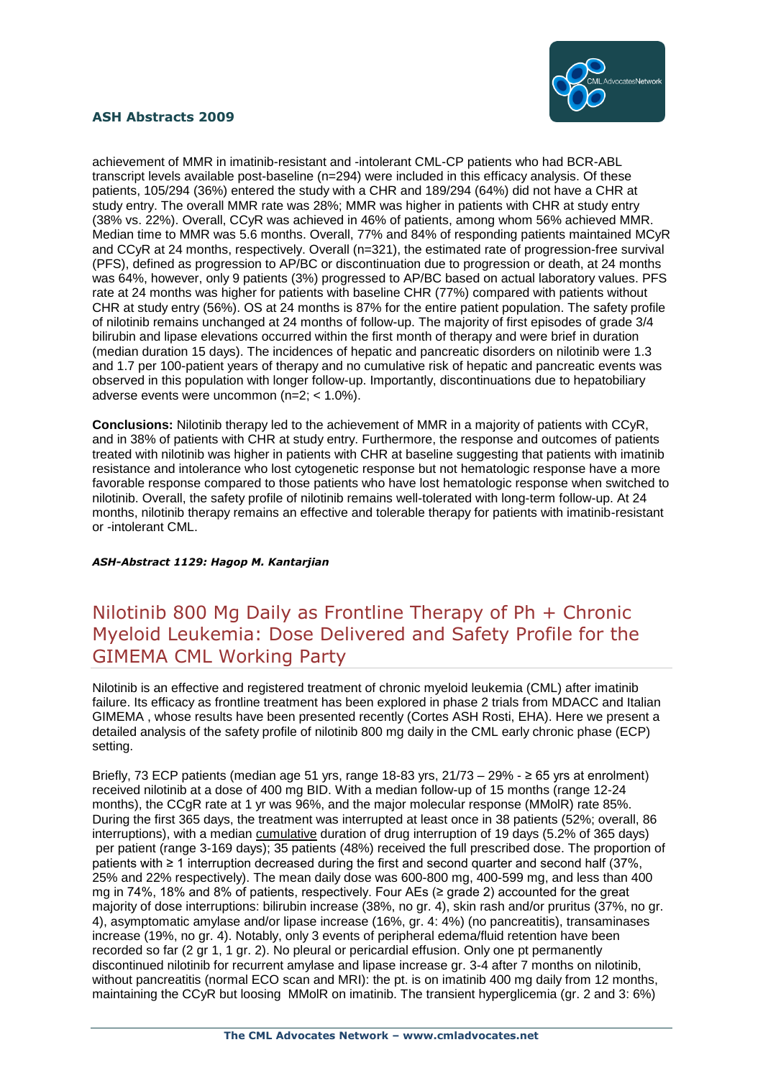

achievement of MMR in imatinib-resistant and -intolerant CML-CP patients who had BCR-ABL transcript levels available post-baseline (n=294) were included in this efficacy analysis. Of these patients, 105/294 (36%) entered the study with a CHR and 189/294 (64%) did not have a CHR at study entry. The overall MMR rate was 28%; MMR was higher in patients with CHR at study entry (38% vs. 22%). Overall, CCyR was achieved in 46% of patients, among whom 56% achieved MMR. Median time to MMR was 5.6 months. Overall, 77% and 84% of responding patients maintained MCyR and CCyR at 24 months, respectively. Overall (n=321), the estimated rate of progression-free survival (PFS), defined as progression to AP/BC or discontinuation due to progression or death, at 24 months was 64%, however, only 9 patients (3%) progressed to AP/BC based on actual laboratory values. PFS rate at 24 months was higher for patients with baseline CHR (77%) compared with patients without CHR at study entry (56%). OS at 24 months is 87% for the entire patient population. The safety profile of nilotinib remains unchanged at 24 months of follow-up. The majority of first episodes of grade 3/4 bilirubin and lipase elevations occurred within the first month of therapy and were brief in duration (median duration 15 days). The incidences of hepatic and pancreatic disorders on nilotinib were 1.3 and 1.7 per 100-patient years of therapy and no cumulative risk of hepatic and pancreatic events was observed in this population with longer follow-up. Importantly, discontinuations due to hepatobiliary adverse events were uncommon (n=2; < 1.0%).

**Conclusions:** Nilotinib therapy led to the achievement of MMR in a majority of patients with CCyR, and in 38% of patients with CHR at study entry. Furthermore, the response and outcomes of patients treated with nilotinib was higher in patients with CHR at baseline suggesting that patients with imatinib resistance and intolerance who lost cytogenetic response but not hematologic response have a more favorable response compared to those patients who have lost hematologic response when switched to nilotinib. Overall, the safety profile of nilotinib remains well-tolerated with long-term follow-up. At 24 months, nilotinib therapy remains an effective and tolerable therapy for patients with imatinib-resistant or -intolerant CML.

#### *ASH-Abstract 1129: Hagop M. Kantarjian*

## Nilotinib 800 Mg Daily as Frontline Therapy of Ph + Chronic Myeloid Leukemia: Dose Delivered and Safety Profile for the GIMEMA CML Working Party

Nilotinib is an effective and registered treatment of chronic myeloid leukemia (CML) after imatinib failure. Its efficacy as frontline treatment has been explored in phase 2 trials from MDACC and Italian GIMEMA , whose results have been presented recently (Cortes ASH Rosti, EHA). Here we present a detailed analysis of the safety profile of nilotinib 800 mg daily in the CML early chronic phase (ECP) setting.

Briefly, 73 ECP patients (median age 51 yrs, range 18-83 yrs,  $21/73 - 29% - \ge 65$  yrs at enrolment) received nilotinib at a dose of 400 mg BID. With a median follow-up of 15 months (range 12-24 months), the CCgR rate at 1 yr was 96%, and the major molecular response (MMolR) rate 85%. During the first 365 days, the treatment was interrupted at least once in 38 patients (52%; overall, 86 interruptions), with a median cumulative duration of drug interruption of 19 days (5.2% of 365 days) per patient (range 3-169 days); 35 patients (48%) received the full prescribed dose. The proportion of patients with ≥ 1 interruption decreased during the first and second quarter and second half (37%, 25% and 22% respectively). The mean daily dose was 600-800 mg, 400-599 mg, and less than 400 mg in 74%, 18% and 8% of patients, respectively. Four AEs (≥ grade 2) accounted for the great majority of dose interruptions: bilirubin increase (38%, no gr. 4), skin rash and/or pruritus (37%, no gr. 4), asymptomatic amylase and/or lipase increase (16%, gr. 4: 4%) (no pancreatitis), transaminases increase (19%, no gr. 4). Notably, only 3 events of peripheral edema/fluid retention have been recorded so far (2 gr 1, 1 gr. 2). No pleural or pericardial effusion. Only one pt permanently discontinued nilotinib for recurrent amylase and lipase increase gr. 3-4 after 7 months on nilotinib, without pancreatitis (normal ECO scan and MRI): the pt. is on imatinib 400 mg daily from 12 months, maintaining the CCyR but loosing MMolR on imatinib. The transient hyperglicemia (gr. 2 and 3: 6%)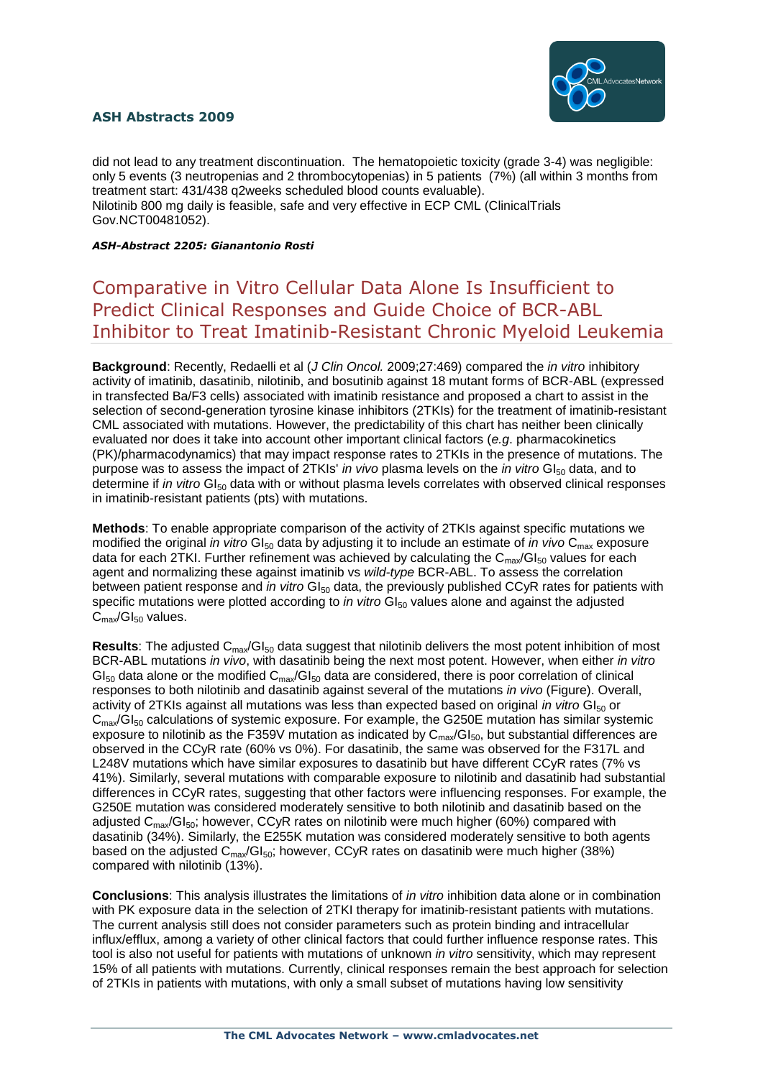

did not lead to any treatment discontinuation. The hematopoietic toxicity (grade 3-4) was negligible: only 5 events (3 neutropenias and 2 thrombocytopenias) in 5 patients (7%) (all within 3 months from treatment start: 431/438 q2weeks scheduled blood counts evaluable). Nilotinib 800 mg daily is feasible, safe and very effective in ECP CML (ClinicalTrials Gov.NCT00481052).

*ASH-Abstract 2205: Gianantonio Rosti*

## Comparative in Vitro Cellular Data Alone Is Insufficient to Predict Clinical Responses and Guide Choice of BCR-ABL Inhibitor to Treat Imatinib-Resistant Chronic Myeloid Leukemia

**Background**: Recently, Redaelli et al (*J Clin Oncol.* 2009;27:469) compared the *in vitro* inhibitory activity of imatinib, dasatinib, nilotinib, and bosutinib against 18 mutant forms of BCR-ABL (expressed in transfected Ba/F3 cells) associated with imatinib resistance and proposed a chart to assist in the selection of second-generation tyrosine kinase inhibitors (2TKIs) for the treatment of imatinib-resistant CML associated with mutations. However, the predictability of this chart has neither been clinically evaluated nor does it take into account other important clinical factors (*e.g*. pharmacokinetics (PK)/pharmacodynamics) that may impact response rates to 2TKIs in the presence of mutations. The purpose was to assess the impact of 2TKIs' *in vivo* plasma levels on the *in vitro* GI<sub>50</sub> data, and to determine if *in vitro* GI<sub>50</sub> data with or without plasma levels correlates with observed clinical responses in imatinib-resistant patients (pts) with mutations.

**Methods**: To enable appropriate comparison of the activity of 2TKIs against specific mutations we modified the original *in vitro* GI<sub>50</sub> data by adjusting it to include an estimate of *in vivo* C<sub>max</sub> exposure data for each 2TKI. Further refinement was achieved by calculating the  $C_{\text{max}}/GI_{50}$  values for each agent and normalizing these against imatinib vs *wild-type* BCR-ABL. To assess the correlation between patient response and *in vitro* GI<sub>50</sub> data, the previously published CCyR rates for patients with specific mutations were plotted according to *in vitro* GI<sub>50</sub> values alone and against the adjusted  $C_{\text{max}}/GI_{50}$  values.

**Results:** The adjusted C<sub>max</sub>/GI<sub>50</sub> data suggest that nilotinib delivers the most potent inhibition of most BCR-ABL mutations *in vivo*, with dasatinib being the next most potent. However, when either *in vitro*  $Gl<sub>50</sub>$  data alone or the modified  $C<sub>max</sub>/Gl<sub>50</sub>$  data are considered, there is poor correlation of clinical responses to both nilotinib and dasatinib against several of the mutations *in vivo* (Figure). Overall, activity of 2TKIs against all mutations was less than expected based on original *in vitro* GI<sub>50</sub> or  $C_{\text{max}}/GI_{50}$  calculations of systemic exposure. For example, the G250E mutation has similar systemic exposure to nilotinib as the F359V mutation as indicated by  $C_{\text{max}}/GI_{50}$ , but substantial differences are observed in the CCyR rate (60% vs 0%). For dasatinib, the same was observed for the F317L and L248V mutations which have similar exposures to dasatinib but have different CCyR rates (7% vs 41%). Similarly, several mutations with comparable exposure to nilotinib and dasatinib had substantial differences in CCyR rates, suggesting that other factors were influencing responses. For example, the G250E mutation was considered moderately sensitive to both nilotinib and dasatinib based on the adjusted  $C_{\text{max}}/GI_{50}$ ; however, CCyR rates on nilotinib were much higher (60%) compared with dasatinib (34%). Similarly, the E255K mutation was considered moderately sensitive to both agents based on the adjusted  $C_{\text{max}}/G$ <sub>50</sub>; however, CCvR rates on dasatinib were much higher (38%) compared with nilotinib (13%).

**Conclusions**: This analysis illustrates the limitations of *in vitro* inhibition data alone or in combination with PK exposure data in the selection of 2TKI therapy for imatinib-resistant patients with mutations. The current analysis still does not consider parameters such as protein binding and intracellular influx/efflux, among a variety of other clinical factors that could further influence response rates. This tool is also not useful for patients with mutations of unknown *in vitro* sensitivity, which may represent 15% of all patients with mutations. Currently, clinical responses remain the best approach for selection of 2TKIs in patients with mutations, with only a small subset of mutations having low sensitivity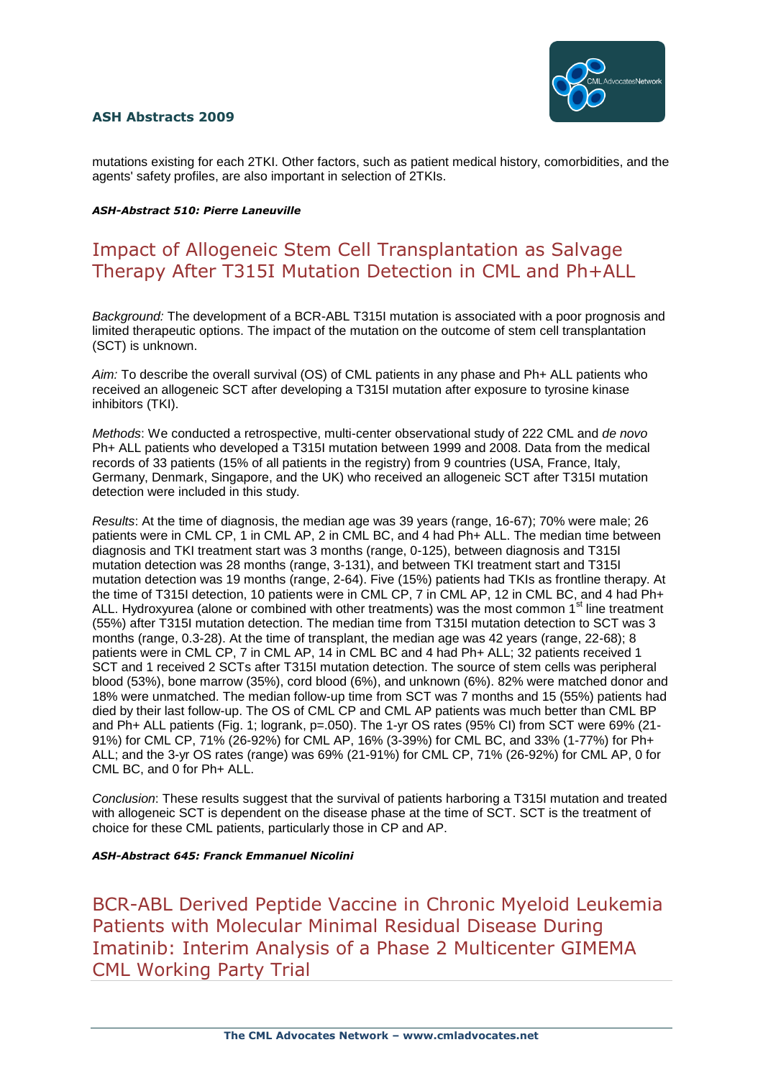

mutations existing for each 2TKI. Other factors, such as patient medical history, comorbidities, and the agents' safety profiles, are also important in selection of 2TKIs.

#### *ASH-Abstract 510: Pierre Laneuville*

## Impact of Allogeneic Stem Cell Transplantation as Salvage Therapy After T315I Mutation Detection in CML and Ph+ALL

*Background:* The development of a BCR-ABL T315I mutation is associated with a poor prognosis and limited therapeutic options. The impact of the mutation on the outcome of stem cell transplantation (SCT) is unknown.

*Aim:* To describe the overall survival (OS) of CML patients in any phase and Ph+ ALL patients who received an allogeneic SCT after developing a T315I mutation after exposure to tyrosine kinase inhibitors (TKI).

*Methods*: We conducted a retrospective, multi-center observational study of 222 CML and *de novo* Ph+ ALL patients who developed a T315I mutation between 1999 and 2008. Data from the medical records of 33 patients (15% of all patients in the registry) from 9 countries (USA, France, Italy, Germany, Denmark, Singapore, and the UK) who received an allogeneic SCT after T315I mutation detection were included in this study.

*Results*: At the time of diagnosis, the median age was 39 years (range, 16-67); 70% were male; 26 patients were in CML CP, 1 in CML AP, 2 in CML BC, and 4 had Ph+ ALL. The median time between diagnosis and TKI treatment start was 3 months (range, 0-125), between diagnosis and T315I mutation detection was 28 months (range, 3-131), and between TKI treatment start and T315I mutation detection was 19 months (range, 2-64). Five (15%) patients had TKIs as frontline therapy. At the time of T315I detection, 10 patients were in CML CP, 7 in CML AP, 12 in CML BC, and 4 had Ph+ ALL. Hydroxyurea (alone or combined with other treatments) was the most common 1<sup>st</sup> line treatment (55%) after T315I mutation detection. The median time from T315I mutation detection to SCT was 3 months (range, 0.3-28). At the time of transplant, the median age was 42 years (range, 22-68); 8 patients were in CML CP, 7 in CML AP, 14 in CML BC and 4 had Ph+ ALL; 32 patients received 1 SCT and 1 received 2 SCTs after T315I mutation detection. The source of stem cells was peripheral blood (53%), bone marrow (35%), cord blood (6%), and unknown (6%). 82% were matched donor and 18% were unmatched. The median follow-up time from SCT was 7 months and 15 (55%) patients had died by their last follow-up. The OS of CML CP and CML AP patients was much better than CML BP and Ph+ ALL patients (Fig. 1; logrank, p=.050). The 1-yr OS rates (95% CI) from SCT were 69% (21-91%) for CML CP, 71% (26-92%) for CML AP, 16% (3-39%) for CML BC, and 33% (1-77%) for Ph+ ALL; and the 3-yr OS rates (range) was 69% (21-91%) for CML CP, 71% (26-92%) for CML AP, 0 for CML BC, and 0 for Ph+ ALL.

*Conclusion*: These results suggest that the survival of patients harboring a T315I mutation and treated with allogeneic SCT is dependent on the disease phase at the time of SCT. SCT is the treatment of choice for these CML patients, particularly those in CP and AP.

### *ASH-Abstract 645: Franck Emmanuel Nicolini*

BCR-ABL Derived Peptide Vaccine in Chronic Myeloid Leukemia Patients with Molecular Minimal Residual Disease During Imatinib: Interim Analysis of a Phase 2 Multicenter GIMEMA CML Working Party Trial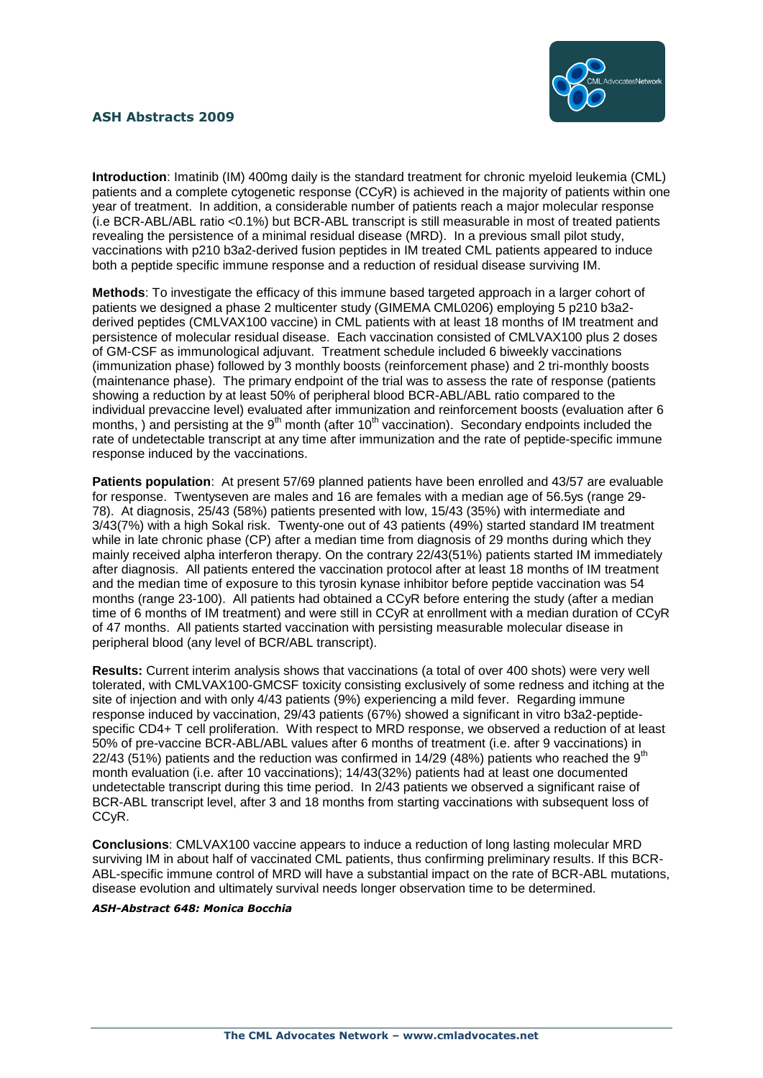

**Introduction**: Imatinib (IM) 400mg daily is the standard treatment for chronic myeloid leukemia (CML) patients and a complete cytogenetic response (CCyR) is achieved in the majority of patients within one year of treatment. In addition, a considerable number of patients reach a major molecular response (i.e BCR-ABL/ABL ratio <0.1%) but BCR-ABL transcript is still measurable in most of treated patients revealing the persistence of a minimal residual disease (MRD). In a previous small pilot study, vaccinations with p210 b3a2-derived fusion peptides in IM treated CML patients appeared to induce both a peptide specific immune response and a reduction of residual disease surviving IM.

**Methods**: To investigate the efficacy of this immune based targeted approach in a larger cohort of patients we designed a phase 2 multicenter study (GIMEMA CML0206) employing 5 p210 b3a2 derived peptides (CMLVAX100 vaccine) in CML patients with at least 18 months of IM treatment and persistence of molecular residual disease. Each vaccination consisted of CMLVAX100 plus 2 doses of GM-CSF as immunological adjuvant. Treatment schedule included 6 biweekly vaccinations (immunization phase) followed by 3 monthly boosts (reinforcement phase) and 2 tri-monthly boosts (maintenance phase). The primary endpoint of the trial was to assess the rate of response (patients showing a reduction by at least 50% of peripheral blood BCR-ABL/ABL ratio compared to the individual prevaccine level) evaluated after immunization and reinforcement boosts (evaluation after 6 months, ) and persisting at the 9<sup>th</sup> month (after 10<sup>th</sup> vaccination). Secondary endpoints included the rate of undetectable transcript at any time after immunization and the rate of peptide-specific immune response induced by the vaccinations.

**Patients population**: At present 57/69 planned patients have been enrolled and 43/57 are evaluable for response. Twentyseven are males and 16 are females with a median age of 56.5ys (range 29- 78). At diagnosis, 25/43 (58%) patients presented with low, 15/43 (35%) with intermediate and 3/43(7%) with a high Sokal risk. Twenty-one out of 43 patients (49%) started standard IM treatment while in late chronic phase (CP) after a median time from diagnosis of 29 months during which they mainly received alpha interferon therapy. On the contrary 22/43(51%) patients started IM immediately after diagnosis. All patients entered the vaccination protocol after at least 18 months of IM treatment and the median time of exposure to this tyrosin kynase inhibitor before peptide vaccination was 54 months (range 23-100). All patients had obtained a CCyR before entering the study (after a median time of 6 months of IM treatment) and were still in CCyR at enrollment with a median duration of CCyR of 47 months. All patients started vaccination with persisting measurable molecular disease in peripheral blood (any level of BCR/ABL transcript).

**Results:** Current interim analysis shows that vaccinations (a total of over 400 shots) were very well tolerated, with CMLVAX100-GMCSF toxicity consisting exclusively of some redness and itching at the site of injection and with only 4/43 patients (9%) experiencing a mild fever. Regarding immune response induced by vaccination, 29/43 patients (67%) showed a significant in vitro b3a2-peptidespecific CD4+ T cell proliferation. With respect to MRD response, we observed a reduction of at least 50% of pre-vaccine BCR-ABL/ABL values after 6 months of treatment (i.e. after 9 vaccinations) in 22/43 (51%) patients and the reduction was confirmed in 14/29 (48%) patients who reached the  $9<sup>th</sup>$ month evaluation (i.e. after 10 vaccinations); 14/43(32%) patients had at least one documented undetectable transcript during this time period. In 2/43 patients we observed a significant raise of BCR-ABL transcript level, after 3 and 18 months from starting vaccinations with subsequent loss of CCyR.

**Conclusions**: CMLVAX100 vaccine appears to induce a reduction of long lasting molecular MRD surviving IM in about half of vaccinated CML patients, thus confirming preliminary results. If this BCR-ABL-specific immune control of MRD will have a substantial impact on the rate of BCR-ABL mutations, disease evolution and ultimately survival needs longer observation time to be determined.

#### *ASH-Abstract 648: Monica Bocchia*